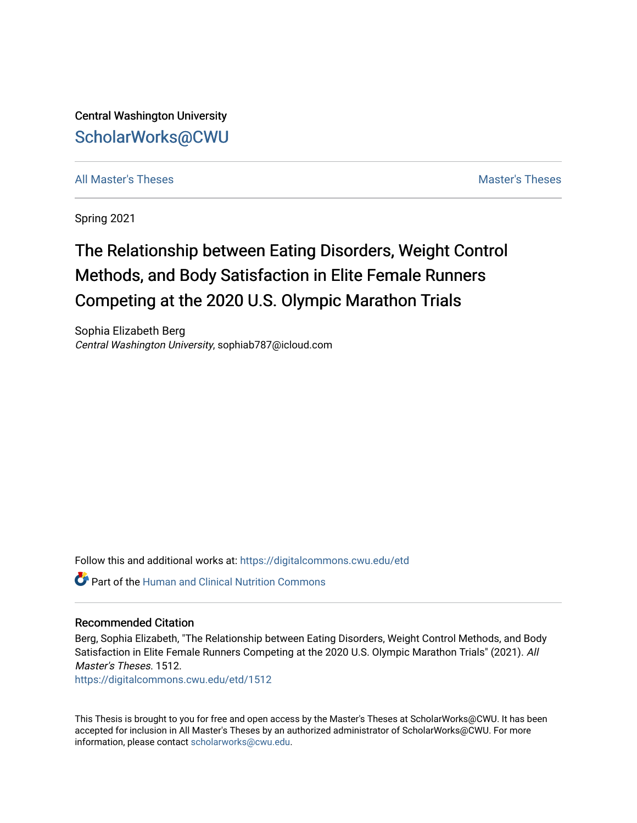Central Washington University [ScholarWorks@CWU](https://digitalcommons.cwu.edu/) 

[All Master's Theses](https://digitalcommons.cwu.edu/etd) and the set of the set of the set of the set of the set of the set of the set of the set of the set of the set of the set of the set of the set of the set of the set of the set of the set of the set of

Spring 2021

# The Relationship between Eating Disorders, Weight Control Methods, and Body Satisfaction in Elite Female Runners Competing at the 2020 U.S. Olympic Marathon Trials

Sophia Elizabeth Berg Central Washington University, sophiab787@icloud.com

Follow this and additional works at: [https://digitalcommons.cwu.edu/etd](https://digitalcommons.cwu.edu/etd?utm_source=digitalcommons.cwu.edu%2Fetd%2F1512&utm_medium=PDF&utm_campaign=PDFCoverPages) 

Part of the [Human and Clinical Nutrition Commons](http://network.bepress.com/hgg/discipline/97?utm_source=digitalcommons.cwu.edu%2Fetd%2F1512&utm_medium=PDF&utm_campaign=PDFCoverPages)

### Recommended Citation

Berg, Sophia Elizabeth, "The Relationship between Eating Disorders, Weight Control Methods, and Body Satisfaction in Elite Female Runners Competing at the 2020 U.S. Olympic Marathon Trials" (2021). All Master's Theses. 1512.

[https://digitalcommons.cwu.edu/etd/1512](https://digitalcommons.cwu.edu/etd/1512?utm_source=digitalcommons.cwu.edu%2Fetd%2F1512&utm_medium=PDF&utm_campaign=PDFCoverPages)

This Thesis is brought to you for free and open access by the Master's Theses at ScholarWorks@CWU. It has been accepted for inclusion in All Master's Theses by an authorized administrator of ScholarWorks@CWU. For more information, please contact [scholarworks@cwu.edu.](mailto:scholarworks@cwu.edu)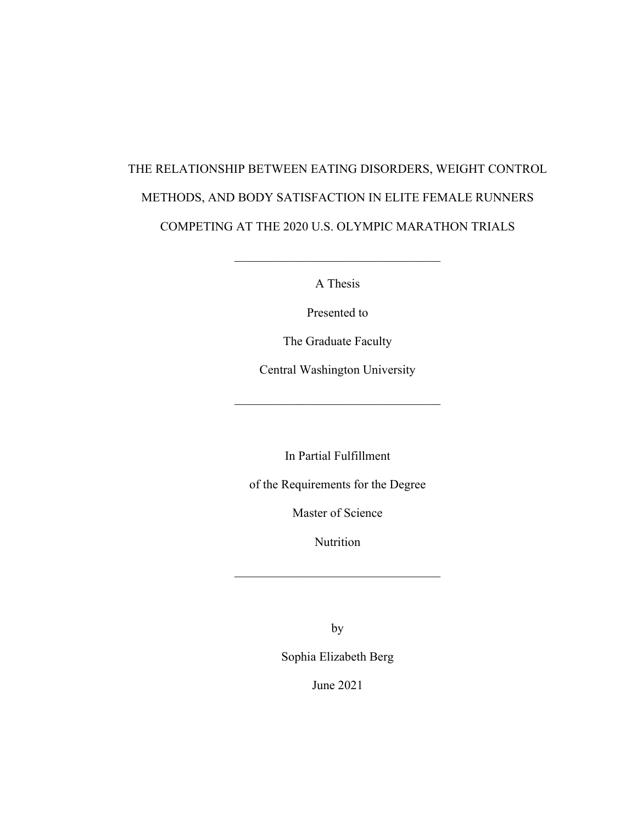# THE RELATIONSHIP BETWEEN EATING DISORDERS, WEIGHT CONTROL METHODS, AND BODY SATISFACTION IN ELITE FEMALE RUNNERS COMPETING AT THE 2020 U.S. OLYMPIC MARATHON TRIALS

A Thesis

Presented to

The Graduate Faculty

Central Washington University

In Partial Fulfillment

of the Requirements for the Degree

Master of Science

Nutrition

 $\mathcal{L}_\text{max}$  and  $\mathcal{L}_\text{max}$  and  $\mathcal{L}_\text{max}$  and  $\mathcal{L}_\text{max}$ 

by

Sophia Elizabeth Berg

June 2021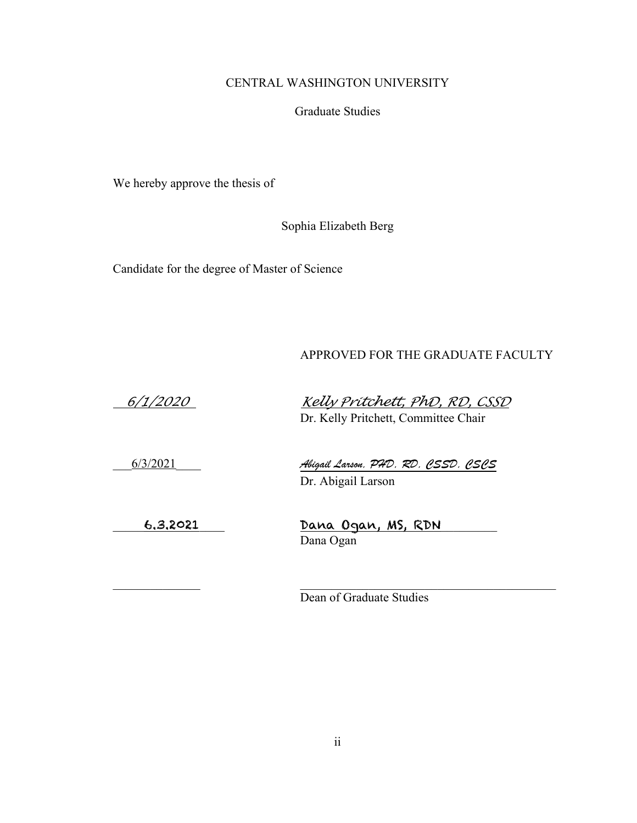## CENTRAL WASHINGTON UNIVERSITY

Graduate Studies

We hereby approve the thesis of

Sophia Elizabeth Berg

Candidate for the degree of Master of Science

## APPROVED FOR THE GRADUATE FACULTY

 *6/1/2020 Kelly Pritchett, PhD, RD, CSSD* Dr. Kelly Pritchett, Committee Chair

\_\_\_6/3/2021\_\_\_\_ *Abigail Larson, PHD, RD, CSSD, CSCS*

Dr. Abigail Larson

\_\_\_\_\_\_\_\_\_\_\_\_\_\_ \_\_\_\_\_\_\_\_\_\_\_\_\_\_\_\_\_\_\_\_\_\_\_\_\_\_\_\_\_\_\_\_\_\_\_\_\_\_\_\_\_

\_\_\_\_\_6.3.2021\_\_\_\_ Dana Ogan, MS, RDN\_\_\_\_\_\_\_\_\_ Dana Ogan

Dean of Graduate Studies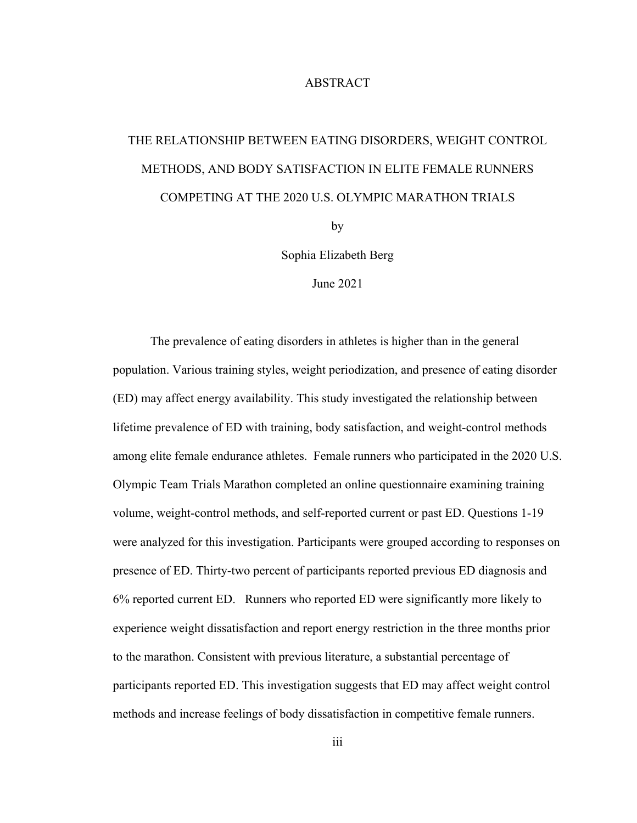### ABSTRACT

# THE RELATIONSHIP BETWEEN EATING DISORDERS, WEIGHT CONTROL METHODS, AND BODY SATISFACTION IN ELITE FEMALE RUNNERS COMPETING AT THE 2020 U.S. OLYMPIC MARATHON TRIALS

by

Sophia Elizabeth Berg

June 2021

The prevalence of eating disorders in athletes is higher than in the general population. Various training styles, weight periodization, and presence of eating disorder (ED) may affect energy availability. This study investigated the relationship between lifetime prevalence of ED with training, body satisfaction, and weight-control methods among elite female endurance athletes. Female runners who participated in the 2020 U.S. Olympic Team Trials Marathon completed an online questionnaire examining training volume, weight-control methods, and self-reported current or past ED. Questions 1-19 were analyzed for this investigation. Participants were grouped according to responses on presence of ED. Thirty-two percent of participants reported previous ED diagnosis and 6% reported current ED. Runners who reported ED were significantly more likely to experience weight dissatisfaction and report energy restriction in the three months prior to the marathon. Consistent with previous literature, a substantial percentage of participants reported ED. This investigation suggests that ED may affect weight control methods and increase feelings of body dissatisfaction in competitive female runners.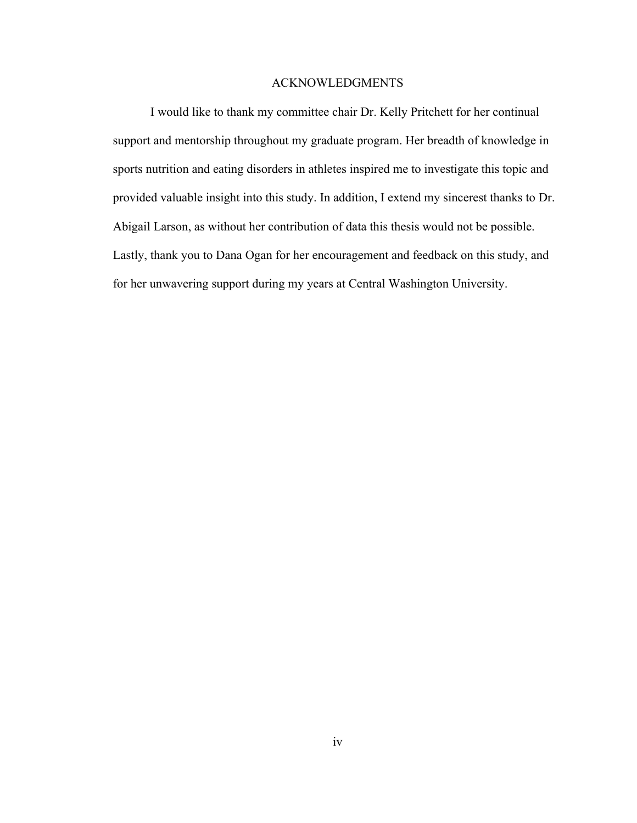### ACKNOWLEDGMENTS

I would like to thank my committee chair Dr. Kelly Pritchett for her continual support and mentorship throughout my graduate program. Her breadth of knowledge in sports nutrition and eating disorders in athletes inspired me to investigate this topic and provided valuable insight into this study. In addition, I extend my sincerest thanks to Dr. Abigail Larson, as without her contribution of data this thesis would not be possible. Lastly, thank you to Dana Ogan for her encouragement and feedback on this study, and for her unwavering support during my years at Central Washington University.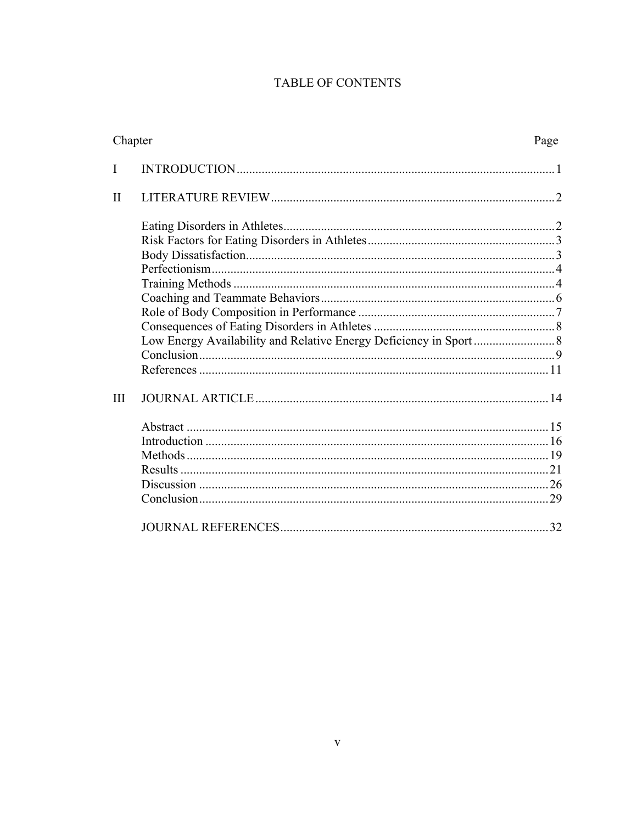# TABLE OF CONTENTS

| Chapter      | Page |
|--------------|------|
| I            |      |
| $\mathbf{I}$ |      |
|              |      |
|              |      |
|              |      |
|              |      |
|              |      |
|              |      |
| III          |      |
|              |      |
|              |      |
|              |      |
|              |      |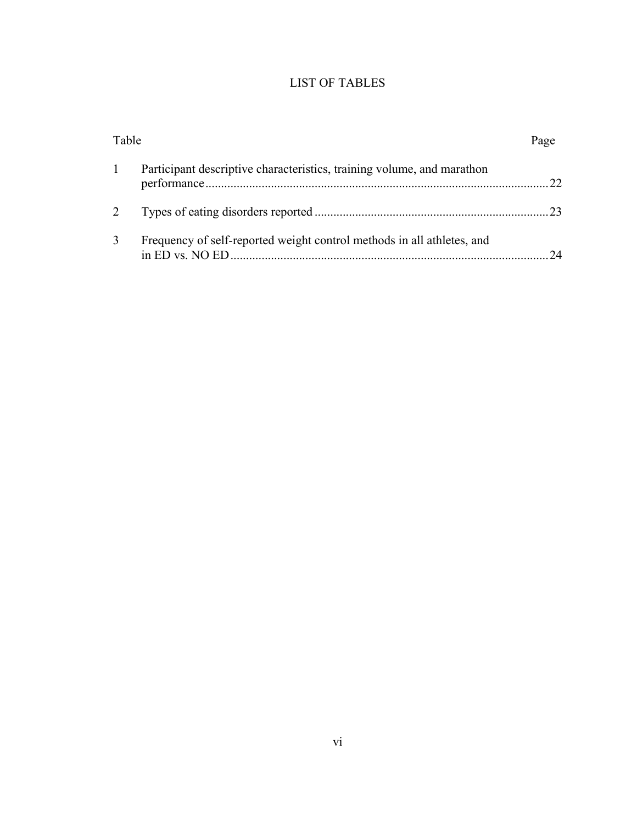# LIST OF TABLES

|   | Participant descriptive characteristics, training volume, and marathon |    |
|---|------------------------------------------------------------------------|----|
|   |                                                                        |    |
| 3 | Frequency of self-reported weight control methods in all athletes, and | 24 |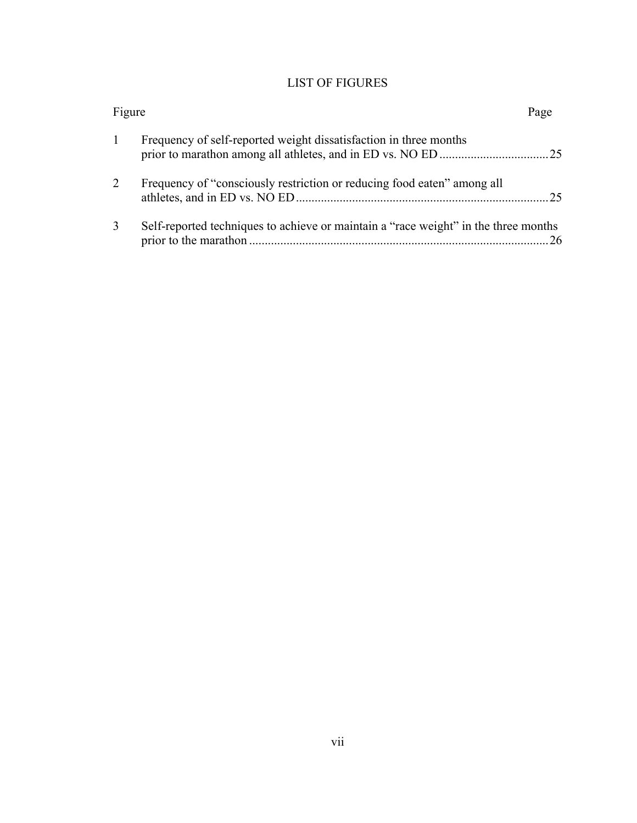# LIST OF FIGURES

| Figure |                                                                                     | Page |
|--------|-------------------------------------------------------------------------------------|------|
|        | Frequency of self-reported weight dissatisfaction in three months                   |      |
| 2      | Frequency of "consciously restriction or reducing food eaten" among all             | .25  |
| 3      | Self-reported techniques to achieve or maintain a "race weight" in the three months | 26   |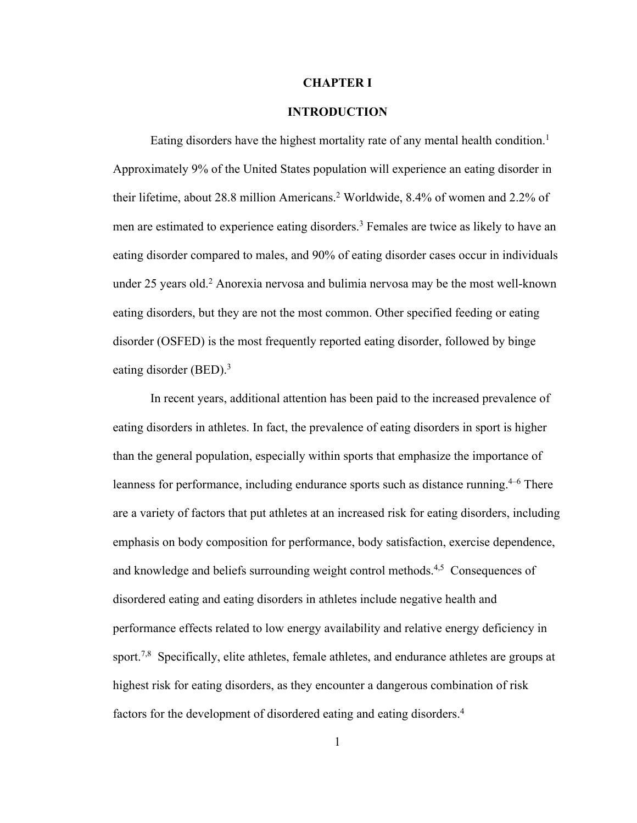### **CHAPTER I**

### **INTRODUCTION**

Eating disorders have the highest mortality rate of any mental health condition. 1 Approximately 9% of the United States population will experience an eating disorder in their lifetime, about 28.8 million Americans. <sup>2</sup> Worldwide, 8.4% of women and 2.2% of men are estimated to experience eating disorders. <sup>3</sup> Females are twice as likely to have an eating disorder compared to males, and 90% of eating disorder cases occur in individuals under 25 years old. <sup>2</sup> Anorexia nervosa and bulimia nervosa may be the most well-known eating disorders, but they are not the most common. Other specified feeding or eating disorder (OSFED) is the most frequently reported eating disorder, followed by binge eating disorder (BED). 3

In recent years, additional attention has been paid to the increased prevalence of eating disorders in athletes. In fact, the prevalence of eating disorders in sport is higher than the general population, especially within sports that emphasize the importance of leanness for performance, including endurance sports such as distance running.<sup>4-6</sup> There are a variety of factors that put athletes at an increased risk for eating disorders, including emphasis on body composition for performance, body satisfaction, exercise dependence, and knowledge and beliefs surrounding weight control methods.<sup>4,5</sup> Consequences of disordered eating and eating disorders in athletes include negative health and performance effects related to low energy availability and relative energy deficiency in sport.<sup>7,8</sup> Specifically, elite athletes, female athletes, and endurance athletes are groups at highest risk for eating disorders, as they encounter a dangerous combination of risk factors for the development of disordered eating and eating disorders. 4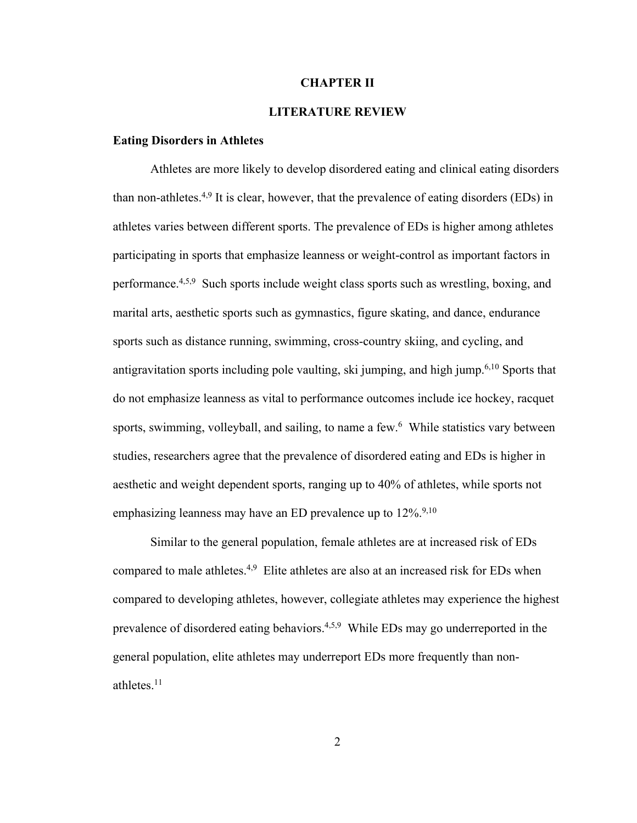### **CHAPTER II**

### **LITERATURE REVIEW**

### **Eating Disorders in Athletes**

Athletes are more likely to develop disordered eating and clinical eating disorders than non-athletes.<sup>4,9</sup> It is clear, however, that the prevalence of eating disorders (EDs) in athletes varies between different sports. The prevalence of EDs is higher among athletes participating in sports that emphasize leanness or weight-control as important factors in performance.<sup>4,5,9</sup> Such sports include weight class sports such as wrestling, boxing, and marital arts, aesthetic sports such as gymnastics, figure skating, and dance, endurance sports such as distance running, swimming, cross-country skiing, and cycling, and antigravitation sports including pole vaulting, ski jumping, and high jump. 6,10 Sports that do not emphasize leanness as vital to performance outcomes include ice hockey, racquet sports, swimming, volleyball, and sailing, to name a few.<sup>6</sup> While statistics vary between studies, researchers agree that the prevalence of disordered eating and EDs is higher in aesthetic and weight dependent sports, ranging up to 40% of athletes, while sports not emphasizing leanness may have an ED prevalence up to  $12\%$ .<sup>9,10</sup>

Similar to the general population, female athletes are at increased risk of EDs compared to male athletes.<sup>4,9</sup> Elite athletes are also at an increased risk for EDs when compared to developing athletes, however, collegiate athletes may experience the highest prevalence of disordered eating behaviors.<sup>4,5,9</sup> While EDs may go underreported in the general population, elite athletes may underreport EDs more frequently than nonathletes. 11

2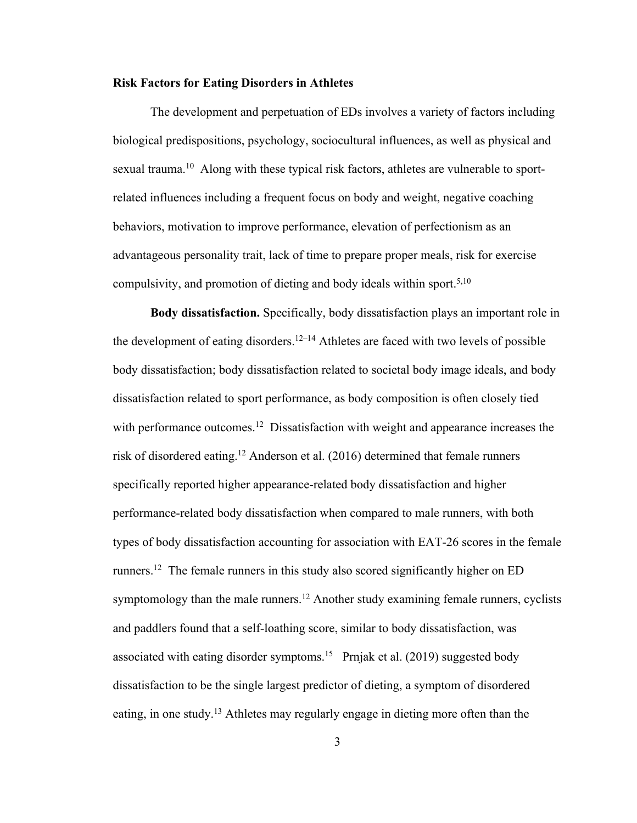### **Risk Factors for Eating Disorders in Athletes**

The development and perpetuation of EDs involves a variety of factors including biological predispositions, psychology, sociocultural influences, as well as physical and sexual trauma.<sup>10</sup> Along with these typical risk factors, athletes are vulnerable to sportrelated influences including a frequent focus on body and weight, negative coaching behaviors, motivation to improve performance, elevation of perfectionism as an advantageous personality trait, lack of time to prepare proper meals, risk for exercise compulsivity, and promotion of dieting and body ideals within sport.<sup>5,10</sup>

**Body dissatisfaction.** Specifically, body dissatisfaction plays an important role in the development of eating disorders.<sup>12–14</sup> Athletes are faced with two levels of possible body dissatisfaction; body dissatisfaction related to societal body image ideals, and body dissatisfaction related to sport performance, as body composition is often closely tied with performance outcomes.<sup>12</sup> Dissatisfaction with weight and appearance increases the risk of disordered eating. <sup>12</sup> Anderson et al. (2016) determined that female runners specifically reported higher appearance-related body dissatisfaction and higher performance-related body dissatisfaction when compared to male runners, with both types of body dissatisfaction accounting for association with EAT-26 scores in the female runners.<sup>12</sup> The female runners in this study also scored significantly higher on ED symptomology than the male runners.<sup>12</sup> Another study examining female runners, cyclists and paddlers found that a self-loathing score, similar to body dissatisfaction, was associated with eating disorder symptoms.<sup>15</sup> Prnjak et al. (2019) suggested body dissatisfaction to be the single largest predictor of dieting, a symptom of disordered eating, in one study.<sup>13</sup> Athletes may regularly engage in dieting more often than the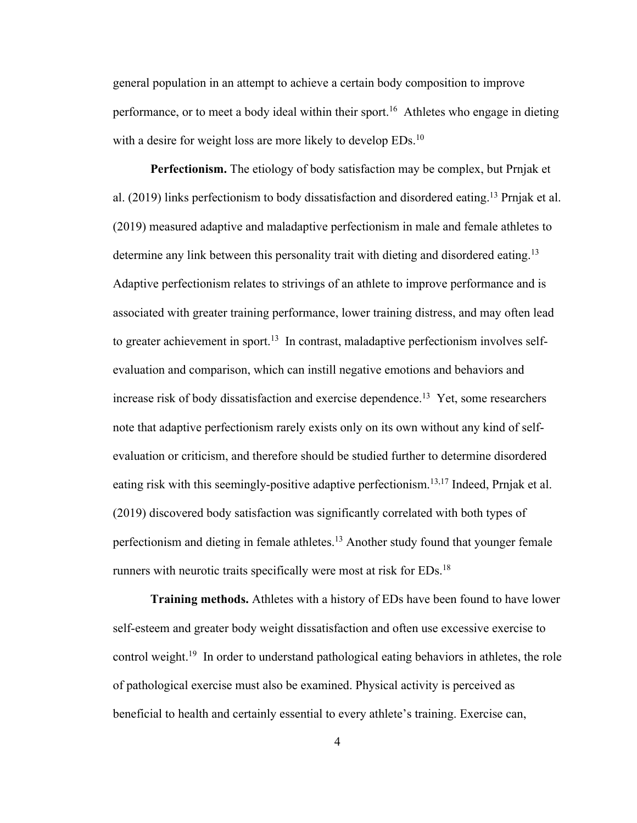general population in an attempt to achieve a certain body composition to improve performance, or to meet a body ideal within their sport.<sup>16</sup> Athletes who engage in dieting with a desire for weight loss are more likely to develop EDs.<sup>10</sup>

**Perfectionism.** The etiology of body satisfaction may be complex, but Prnjak et al. (2019) links perfectionism to body dissatisfaction and disordered eating.<sup>13</sup> Prnjak et al. (2019) measured adaptive and maladaptive perfectionism in male and female athletes to determine any link between this personality trait with dieting and disordered eating.<sup>13</sup> Adaptive perfectionism relates to strivings of an athlete to improve performance and is associated with greater training performance, lower training distress, and may often lead to greater achievement in sport.<sup>13</sup> In contrast, maladaptive perfectionism involves selfevaluation and comparison, which can instill negative emotions and behaviors and increase risk of body dissatisfaction and exercise dependence. 13 Yet, some researchers note that adaptive perfectionism rarely exists only on its own without any kind of selfevaluation or criticism, and therefore should be studied further to determine disordered eating risk with this seemingly-positive adaptive perfectionism.<sup>13,17</sup> Indeed, Prnjak et al. (2019) discovered body satisfaction was significantly correlated with both types of perfectionism and dieting in female athletes.<sup>13</sup> Another study found that younger female runners with neurotic traits specifically were most at risk for EDs.<sup>18</sup>

**Training methods.** Athletes with a history of EDs have been found to have lower self-esteem and greater body weight dissatisfaction and often use excessive exercise to control weight.<sup>19</sup> In order to understand pathological eating behaviors in athletes, the role of pathological exercise must also be examined. Physical activity is perceived as beneficial to health and certainly essential to every athlete's training. Exercise can,

4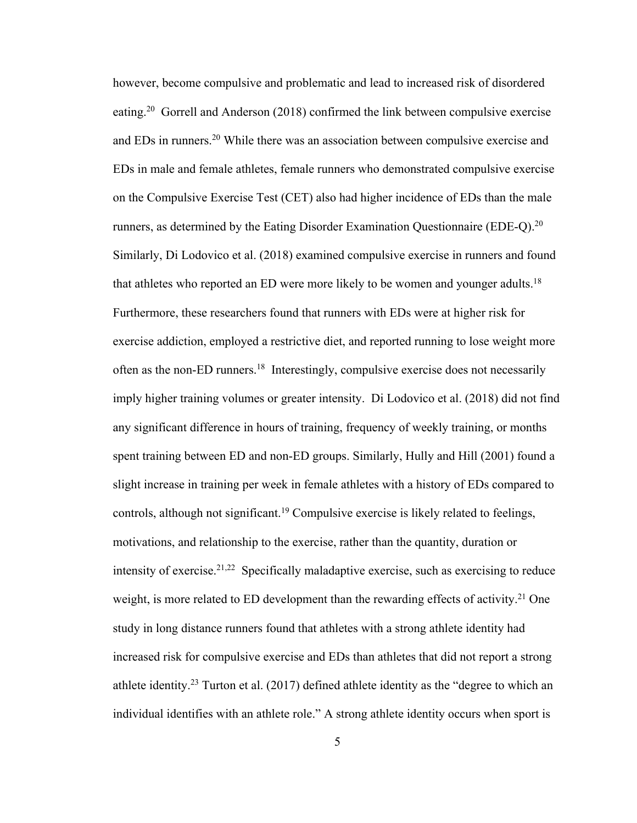however, become compulsive and problematic and lead to increased risk of disordered eating.<sup>20</sup> Gorrell and Anderson (2018) confirmed the link between compulsive exercise and EDs in runners. <sup>20</sup> While there was an association between compulsive exercise and EDs in male and female athletes, female runners who demonstrated compulsive exercise on the Compulsive Exercise Test (CET) also had higher incidence of EDs than the male runners, as determined by the Eating Disorder Examination Questionnaire (EDE-Q).<sup>20</sup> Similarly, Di Lodovico et al. (2018) examined compulsive exercise in runners and found that athletes who reported an ED were more likely to be women and younger adults.<sup>18</sup> Furthermore, these researchers found that runners with EDs were at higher risk for exercise addiction, employed a restrictive diet, and reported running to lose weight more often as the non-ED runners.<sup>18</sup> Interestingly, compulsive exercise does not necessarily imply higher training volumes or greater intensity. Di Lodovico et al. (2018) did not find any significant difference in hours of training, frequency of weekly training, or months spent training between ED and non-ED groups. Similarly, Hully and Hill (2001) found a slight increase in training per week in female athletes with a history of EDs compared to controls, although not significant. <sup>19</sup> Compulsive exercise is likely related to feelings, motivations, and relationship to the exercise, rather than the quantity, duration or intensity of exercise.<sup>21,22</sup> Specifically maladaptive exercise, such as exercising to reduce weight, is more related to ED development than the rewarding effects of activity.<sup>21</sup> One study in long distance runners found that athletes with a strong athlete identity had increased risk for compulsive exercise and EDs than athletes that did not report a strong athlete identity.<sup>23</sup> Turton et al.  $(2017)$  defined athlete identity as the "degree to which an individual identifies with an athlete role." A strong athlete identity occurs when sport is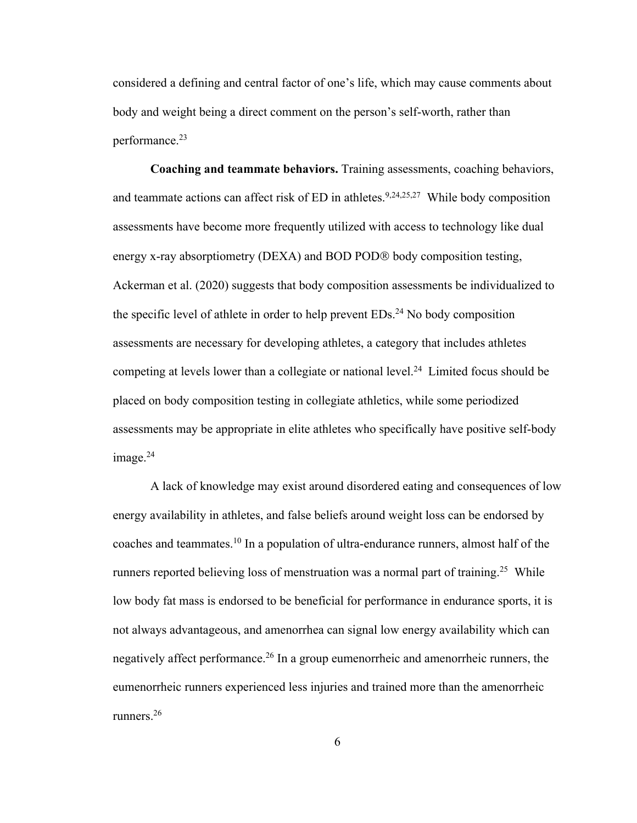considered a defining and central factor of one's life, which may cause comments about body and weight being a direct comment on the person's self-worth, rather than performance. 23

**Coaching and teammate behaviors.** Training assessments, coaching behaviors, and teammate actions can affect risk of ED in athletes.<sup>9,24,25,27</sup> While body composition assessments have become more frequently utilized with access to technology like dual energy x-ray absorptiometry (DEXA) and BOD POD® body composition testing, Ackerman et al. (2020) suggests that body composition assessments be individualized to the specific level of athlete in order to help prevent EDs.<sup>24</sup> No body composition assessments are necessary for developing athletes, a category that includes athletes competing at levels lower than a collegiate or national level. 24 Limited focus should be placed on body composition testing in collegiate athletics, while some periodized assessments may be appropriate in elite athletes who specifically have positive self-body image. 24

A lack of knowledge may exist around disordered eating and consequences of low energy availability in athletes, and false beliefs around weight loss can be endorsed by coaches and teammates. <sup>10</sup> In a population of ultra-endurance runners, almost half of the runners reported believing loss of menstruation was a normal part of training.<sup>25</sup> While low body fat mass is endorsed to be beneficial for performance in endurance sports, it is not always advantageous, and amenorrhea can signal low energy availability which can negatively affect performance.<sup>26</sup> In a group eumenorrheic and amenorrheic runners, the eumenorrheic runners experienced less injuries and trained more than the amenorrheic runners. 26

6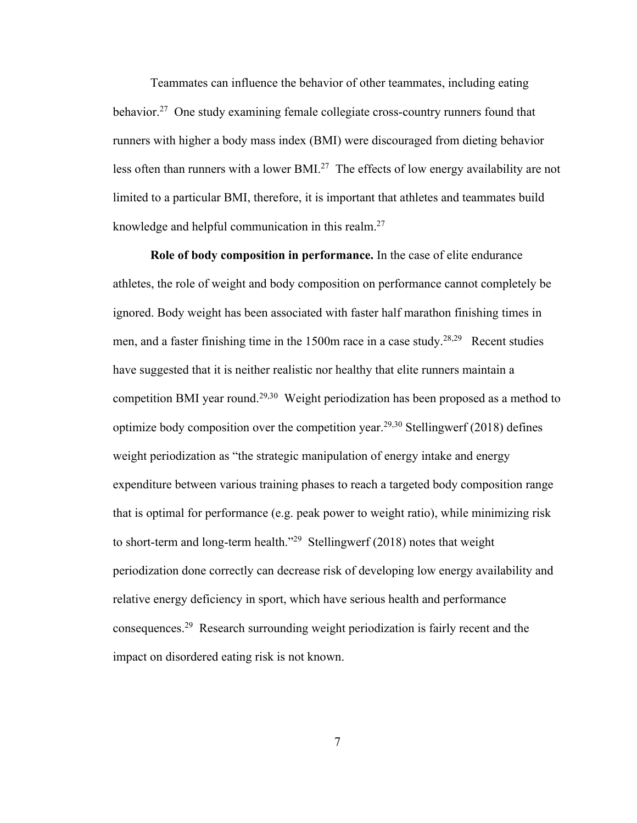Teammates can influence the behavior of other teammates, including eating behavior.<sup>27</sup> One study examining female collegiate cross-country runners found that runners with higher a body mass index (BMI) were discouraged from dieting behavior less often than runners with a lower BMI.<sup>27</sup> The effects of low energy availability are not limited to a particular BMI, therefore, it is important that athletes and teammates build knowledge and helpful communication in this realm.<sup>27</sup>

**Role of body composition in performance.** In the case of elite endurance athletes, the role of weight and body composition on performance cannot completely be ignored. Body weight has been associated with faster half marathon finishing times in men, and a faster finishing time in the 1500m race in a case study.<sup>28,29</sup> Recent studies have suggested that it is neither realistic nor healthy that elite runners maintain a competition BMI year round.<sup>29,30</sup> Weight periodization has been proposed as a method to optimize body composition over the competition year.<sup>29,30</sup> Stellingwerf (2018) defines weight periodization as "the strategic manipulation of energy intake and energy expenditure between various training phases to reach a targeted body composition range that is optimal for performance (e.g. peak power to weight ratio), while minimizing risk to short-term and long-term health."29 Stellingwerf (2018) notes that weight periodization done correctly can decrease risk of developing low energy availability and relative energy deficiency in sport, which have serious health and performance consequences.29 Research surrounding weight periodization is fairly recent and the impact on disordered eating risk is not known.

7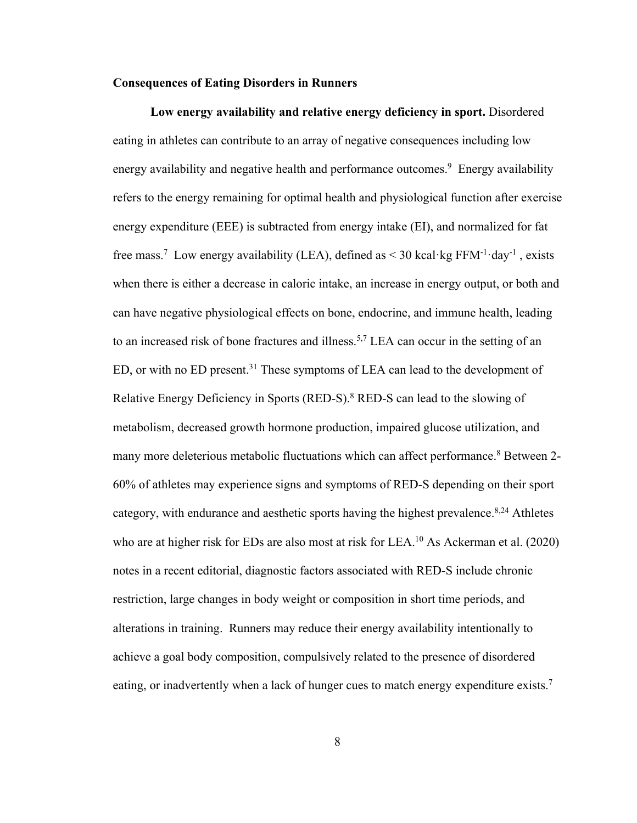### **Consequences of Eating Disorders in Runners**

**Low energy availability and relative energy deficiency in sport.** Disordered eating in athletes can contribute to an array of negative consequences including low energy availability and negative health and performance outcomes.<sup>9</sup> Energy availability refers to the energy remaining for optimal health and physiological function after exercise energy expenditure (EEE) is subtracted from energy intake (EI), and normalized for fat free mass.<sup>7</sup> Low energy availability (LEA), defined as  $\leq$  30 kcal·kg FFM<sup>-1</sup>·day<sup>-1</sup>, exists when there is either a decrease in caloric intake, an increase in energy output, or both and can have negative physiological effects on bone, endocrine, and immune health, leading to an increased risk of bone fractures and illness.<sup>5,7</sup> LEA can occur in the setting of an ED, or with no ED present.<sup>31</sup> These symptoms of LEA can lead to the development of Relative Energy Deficiency in Sports (RED-S).<sup>8</sup> RED-S can lead to the slowing of metabolism, decreased growth hormone production, impaired glucose utilization, and many more deleterious metabolic fluctuations which can affect performance. <sup>8</sup> Between 2- 60% of athletes may experience signs and symptoms of RED-S depending on their sport category, with endurance and aesthetic sports having the highest prevalence.<sup>8,24</sup> Athletes who are at higher risk for EDs are also most at risk for LEA.<sup>10</sup> As Ackerman et al. (2020) notes in a recent editorial, diagnostic factors associated with RED-S include chronic restriction, large changes in body weight or composition in short time periods, and alterations in training. Runners may reduce their energy availability intentionally to achieve a goal body composition, compulsively related to the presence of disordered eating, or inadvertently when a lack of hunger cues to match energy expenditure exists.<sup>7</sup>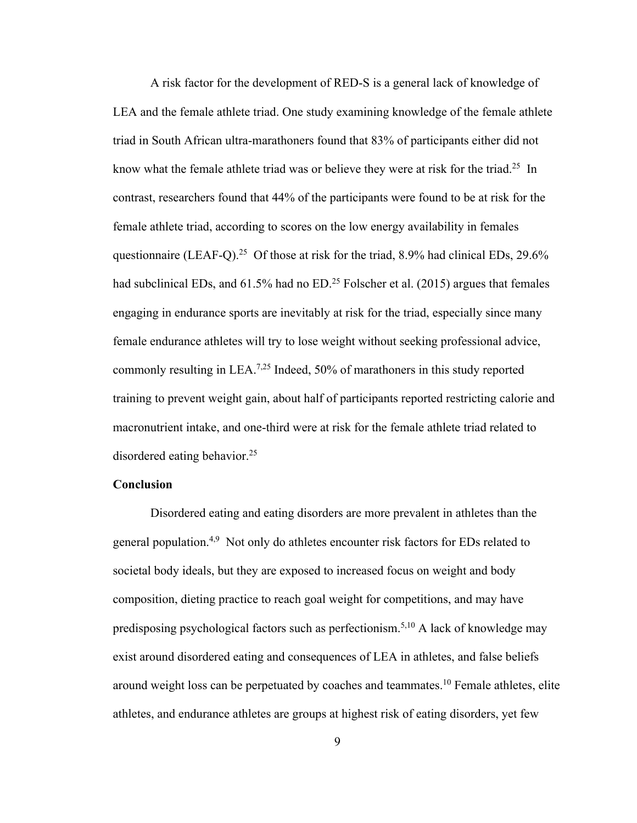A risk factor for the development of RED-S is a general lack of knowledge of LEA and the female athlete triad. One study examining knowledge of the female athlete triad in South African ultra-marathoners found that 83% of participants either did not know what the female athlete triad was or believe they were at risk for the triad.<sup>25</sup> In contrast, researchers found that 44% of the participants were found to be at risk for the female athlete triad, according to scores on the low energy availability in females questionnaire (LEAF-Q).<sup>25</sup> Of those at risk for the triad, 8.9% had clinical EDs, 29.6% had subclinical EDs, and 61.5% had no ED.<sup>25</sup> Folscher et al. (2015) argues that females engaging in endurance sports are inevitably at risk for the triad, especially since many female endurance athletes will try to lose weight without seeking professional advice, commonly resulting in LEA.<sup>7,25</sup> Indeed, 50% of marathoners in this study reported training to prevent weight gain, about half of participants reported restricting calorie and macronutrient intake, and one-third were at risk for the female athlete triad related to disordered eating behavior. 25

### **Conclusion**

Disordered eating and eating disorders are more prevalent in athletes than the general population.<sup>4,9</sup> Not only do athletes encounter risk factors for EDs related to societal body ideals, but they are exposed to increased focus on weight and body composition, dieting practice to reach goal weight for competitions, and may have predisposing psychological factors such as perfectionism.<sup>5,10</sup> A lack of knowledge may exist around disordered eating and consequences of LEA in athletes, and false beliefs around weight loss can be perpetuated by coaches and teammates. <sup>10</sup> Female athletes, elite athletes, and endurance athletes are groups at highest risk of eating disorders, yet few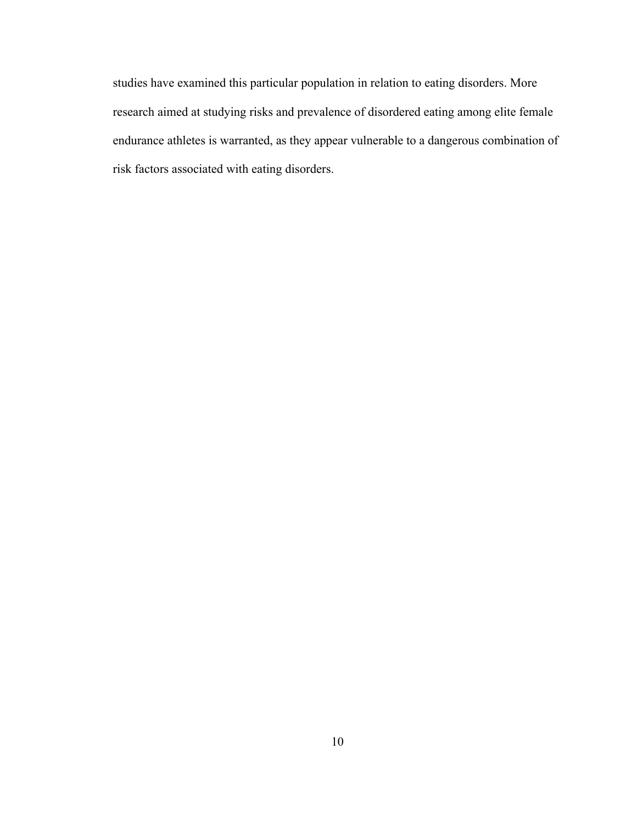studies have examined this particular population in relation to eating disorders. More research aimed at studying risks and prevalence of disordered eating among elite female endurance athletes is warranted, as they appear vulnerable to a dangerous combination of risk factors associated with eating disorders.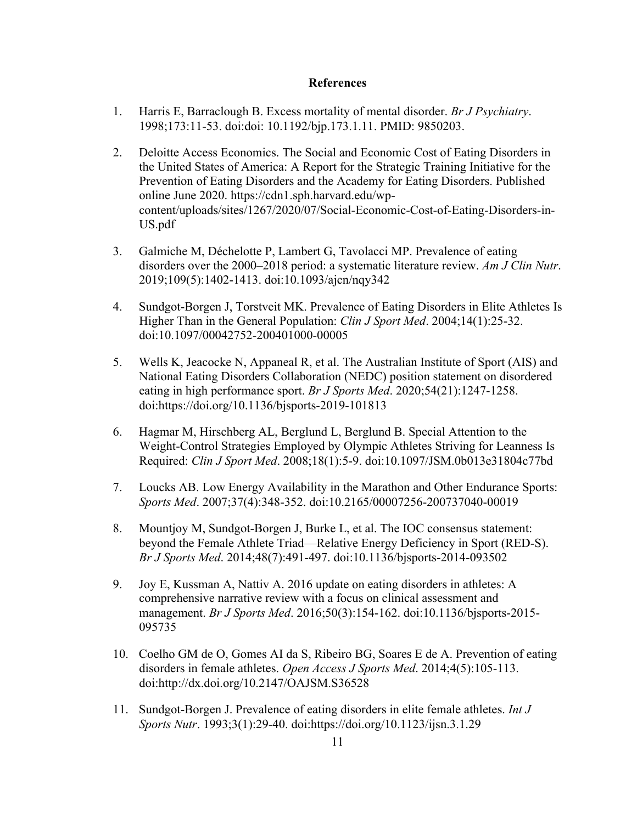### **References**

- 1. Harris E, Barraclough B. Excess mortality of mental disorder. *Br J Psychiatry*. 1998;173:11-53. doi:doi: 10.1192/bjp.173.1.11. PMID: 9850203.
- 2. Deloitte Access Economics. The Social and Economic Cost of Eating Disorders in the United States of America: A Report for the Strategic Training Initiative for the Prevention of Eating Disorders and the Academy for Eating Disorders. Published online June 2020. https://cdn1.sph.harvard.edu/wpcontent/uploads/sites/1267/2020/07/Social-Economic-Cost-of-Eating-Disorders-in-US.pdf
- 3. Galmiche M, Déchelotte P, Lambert G, Tavolacci MP. Prevalence of eating disorders over the 2000–2018 period: a systematic literature review. *Am J Clin Nutr*. 2019;109(5):1402-1413. doi:10.1093/ajcn/nqy342
- 4. Sundgot-Borgen J, Torstveit MK. Prevalence of Eating Disorders in Elite Athletes Is Higher Than in the General Population: *Clin J Sport Med*. 2004;14(1):25-32. doi:10.1097/00042752-200401000-00005
- 5. Wells K, Jeacocke N, Appaneal R, et al. The Australian Institute of Sport (AIS) and National Eating Disorders Collaboration (NEDC) position statement on disordered eating in high performance sport. *Br J Sports Med*. 2020;54(21):1247-1258. doi:https://doi.org/10.1136/bjsports-2019-101813
- 6. Hagmar M, Hirschberg AL, Berglund L, Berglund B. Special Attention to the Weight-Control Strategies Employed by Olympic Athletes Striving for Leanness Is Required: *Clin J Sport Med*. 2008;18(1):5-9. doi:10.1097/JSM.0b013e31804c77bd
- 7. Loucks AB. Low Energy Availability in the Marathon and Other Endurance Sports: *Sports Med*. 2007;37(4):348-352. doi:10.2165/00007256-200737040-00019
- 8. Mountjoy M, Sundgot-Borgen J, Burke L, et al. The IOC consensus statement: beyond the Female Athlete Triad—Relative Energy Deficiency in Sport (RED-S). *Br J Sports Med*. 2014;48(7):491-497. doi:10.1136/bjsports-2014-093502
- 9. Joy E, Kussman A, Nattiv A. 2016 update on eating disorders in athletes: A comprehensive narrative review with a focus on clinical assessment and management. *Br J Sports Med*. 2016;50(3):154-162. doi:10.1136/bjsports-2015- 095735
- 10. Coelho GM de O, Gomes AI da S, Ribeiro BG, Soares E de A. Prevention of eating disorders in female athletes. *Open Access J Sports Med*. 2014;4(5):105-113. doi:http://dx.doi.org/10.2147/OAJSM.S36528
- 11. Sundgot-Borgen J. Prevalence of eating disorders in elite female athletes. *Int J Sports Nutr*. 1993;3(1):29-40. doi:https://doi.org/10.1123/ijsn.3.1.29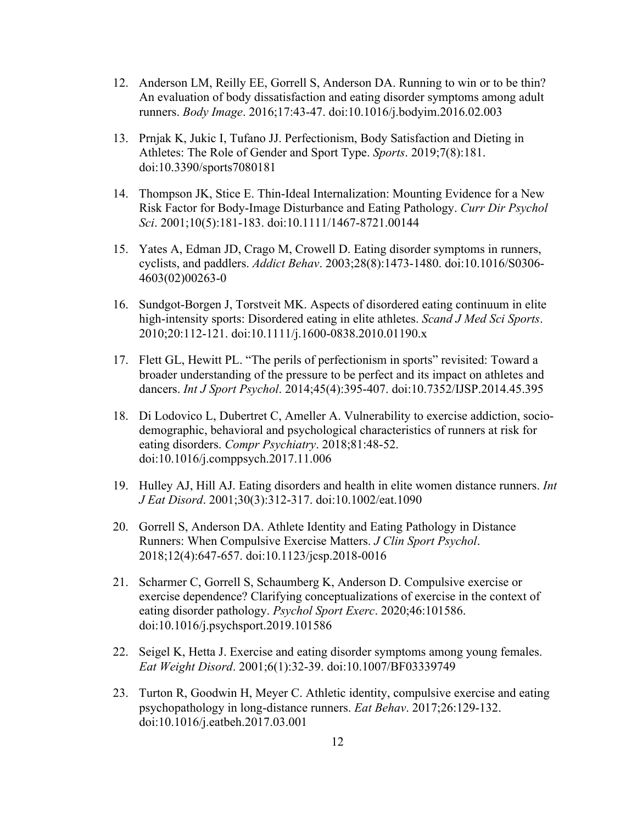- 12. Anderson LM, Reilly EE, Gorrell S, Anderson DA. Running to win or to be thin? An evaluation of body dissatisfaction and eating disorder symptoms among adult runners. *Body Image*. 2016;17:43-47. doi:10.1016/j.bodyim.2016.02.003
- 13. Prnjak K, Jukic I, Tufano JJ. Perfectionism, Body Satisfaction and Dieting in Athletes: The Role of Gender and Sport Type. *Sports*. 2019;7(8):181. doi:10.3390/sports7080181
- 14. Thompson JK, Stice E. Thin-Ideal Internalization: Mounting Evidence for a New Risk Factor for Body-Image Disturbance and Eating Pathology. *Curr Dir Psychol Sci*. 2001;10(5):181-183. doi:10.1111/1467-8721.00144
- 15. Yates A, Edman JD, Crago M, Crowell D. Eating disorder symptoms in runners, cyclists, and paddlers. *Addict Behav*. 2003;28(8):1473-1480. doi:10.1016/S0306- 4603(02)00263-0
- 16. Sundgot-Borgen J, Torstveit MK. Aspects of disordered eating continuum in elite high-intensity sports: Disordered eating in elite athletes. *Scand J Med Sci Sports*. 2010;20:112-121. doi:10.1111/j.1600-0838.2010.01190.x
- 17. Flett GL, Hewitt PL. "The perils of perfectionism in sports" revisited: Toward a broader understanding of the pressure to be perfect and its impact on athletes and dancers. *Int J Sport Psychol*. 2014;45(4):395-407. doi:10.7352/IJSP.2014.45.395
- 18. Di Lodovico L, Dubertret C, Ameller A. Vulnerability to exercise addiction, sociodemographic, behavioral and psychological characteristics of runners at risk for eating disorders. *Compr Psychiatry*. 2018;81:48-52. doi:10.1016/j.comppsych.2017.11.006
- 19. Hulley AJ, Hill AJ. Eating disorders and health in elite women distance runners. *Int J Eat Disord*. 2001;30(3):312-317. doi:10.1002/eat.1090
- 20. Gorrell S, Anderson DA. Athlete Identity and Eating Pathology in Distance Runners: When Compulsive Exercise Matters. *J Clin Sport Psychol*. 2018;12(4):647-657. doi:10.1123/jcsp.2018-0016
- 21. Scharmer C, Gorrell S, Schaumberg K, Anderson D. Compulsive exercise or exercise dependence? Clarifying conceptualizations of exercise in the context of eating disorder pathology. *Psychol Sport Exerc*. 2020;46:101586. doi:10.1016/j.psychsport.2019.101586
- 22. Seigel K, Hetta J. Exercise and eating disorder symptoms among young females. *Eat Weight Disord*. 2001;6(1):32-39. doi:10.1007/BF03339749
- 23. Turton R, Goodwin H, Meyer C. Athletic identity, compulsive exercise and eating psychopathology in long-distance runners. *Eat Behav*. 2017;26:129-132. doi:10.1016/j.eatbeh.2017.03.001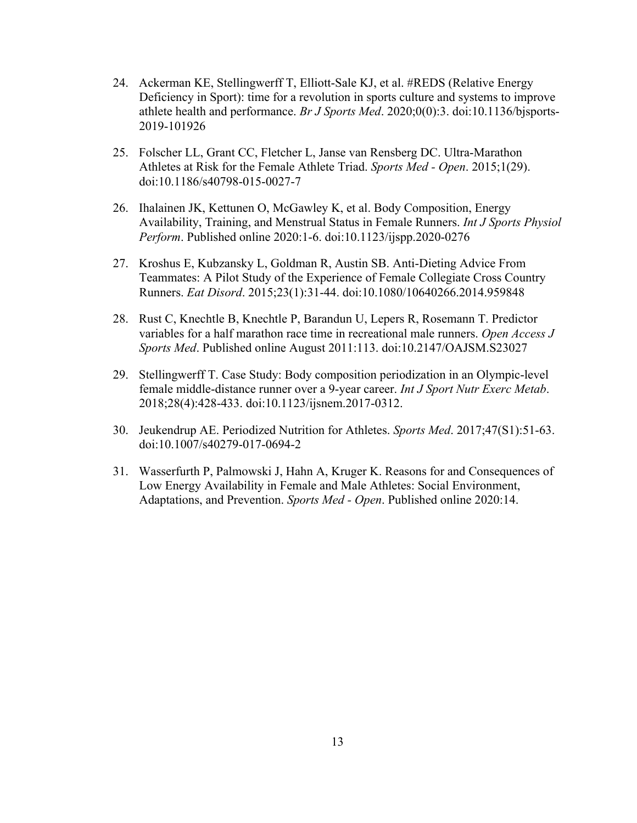- 24. Ackerman KE, Stellingwerff T, Elliott-Sale KJ, et al. #REDS (Relative Energy Deficiency in Sport): time for a revolution in sports culture and systems to improve athlete health and performance. *Br J Sports Med*. 2020;0(0):3. doi:10.1136/bjsports-2019-101926
- 25. Folscher LL, Grant CC, Fletcher L, Janse van Rensberg DC. Ultra-Marathon Athletes at Risk for the Female Athlete Triad. *Sports Med - Open*. 2015;1(29). doi:10.1186/s40798-015-0027-7
- 26. Ihalainen JK, Kettunen O, McGawley K, et al. Body Composition, Energy Availability, Training, and Menstrual Status in Female Runners. *Int J Sports Physiol Perform*. Published online 2020:1-6. doi:10.1123/ijspp.2020-0276
- 27. Kroshus E, Kubzansky L, Goldman R, Austin SB. Anti-Dieting Advice From Teammates: A Pilot Study of the Experience of Female Collegiate Cross Country Runners. *Eat Disord*. 2015;23(1):31-44. doi:10.1080/10640266.2014.959848
- 28. Rust C, Knechtle B, Knechtle P, Barandun U, Lepers R, Rosemann T. Predictor variables for a half marathon race time in recreational male runners. *Open Access J Sports Med*. Published online August 2011:113. doi:10.2147/OAJSM.S23027
- 29. Stellingwerff T. Case Study: Body composition periodization in an Olympic-level female middle-distance runner over a 9-year career. *Int J Sport Nutr Exerc Metab*. 2018;28(4):428-433. doi:10.1123/ijsnem.2017-0312.
- 30. Jeukendrup AE. Periodized Nutrition for Athletes. *Sports Med*. 2017;47(S1):51-63. doi:10.1007/s40279-017-0694-2
- 31. Wasserfurth P, Palmowski J, Hahn A, Kruger K. Reasons for and Consequences of Low Energy Availability in Female and Male Athletes: Social Environment, Adaptations, and Prevention. *Sports Med - Open*. Published online 2020:14.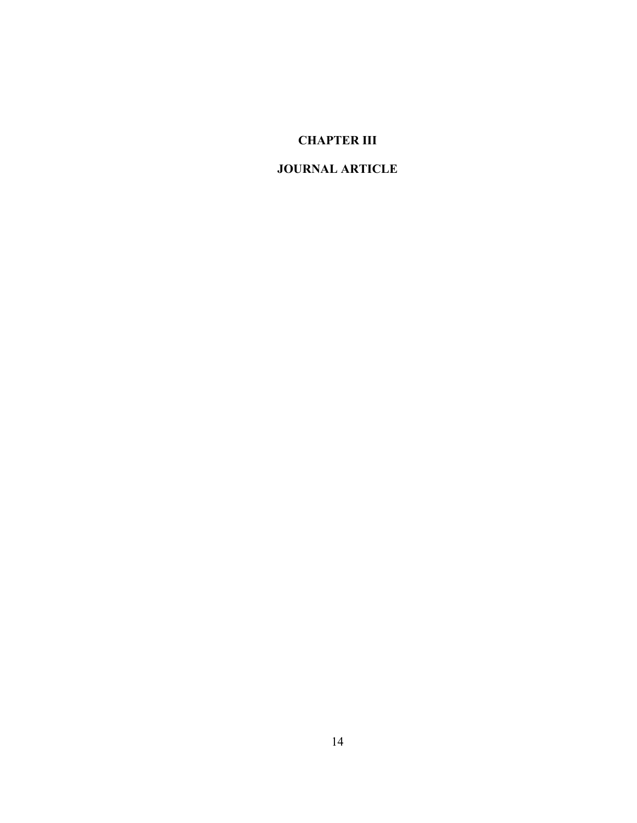# **CHAPTER III**

# **JOURNAL ARTICLE**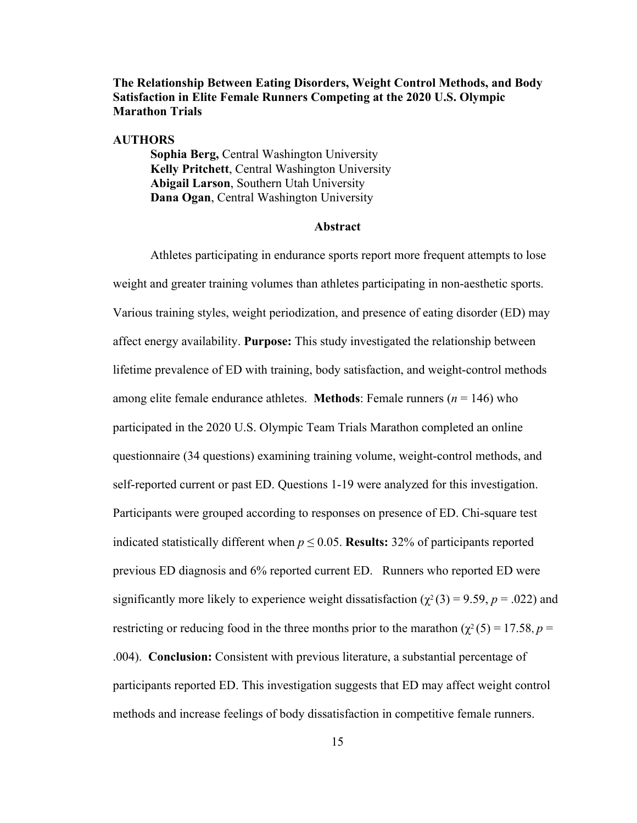## **The Relationship Between Eating Disorders, Weight Control Methods, and Body Satisfaction in Elite Female Runners Competing at the 2020 U.S. Olympic Marathon Trials**

### **AUTHORS**

**Sophia Berg,** Central Washington University **Kelly Pritchett**, Central Washington University **Abigail Larson**, Southern Utah University **Dana Ogan**, Central Washington University

#### **Abstract**

Athletes participating in endurance sports report more frequent attempts to lose weight and greater training volumes than athletes participating in non-aesthetic sports. Various training styles, weight periodization, and presence of eating disorder (ED) may affect energy availability. **Purpose:** This study investigated the relationship between lifetime prevalence of ED with training, body satisfaction, and weight-control methods among elite female endurance athletes. **Methods**: Female runners ( $n = 146$ ) who participated in the 2020 U.S. Olympic Team Trials Marathon completed an online questionnaire (34 questions) examining training volume, weight-control methods, and self-reported current or past ED. Questions 1-19 were analyzed for this investigation. Participants were grouped according to responses on presence of ED. Chi-square test indicated statistically different when  $p \le 0.05$ . **Results:** 32% of participants reported previous ED diagnosis and 6% reported current ED. Runners who reported ED were significantly more likely to experience weight dissatisfaction ( $\chi^2$ (3) = 9.59, *p* = .022) and restricting or reducing food in the three months prior to the marathon ( $\chi^2$  (5) = 17.58, *p* = .004). **Conclusion:** Consistent with previous literature, a substantial percentage of participants reported ED. This investigation suggests that ED may affect weight control methods and increase feelings of body dissatisfaction in competitive female runners.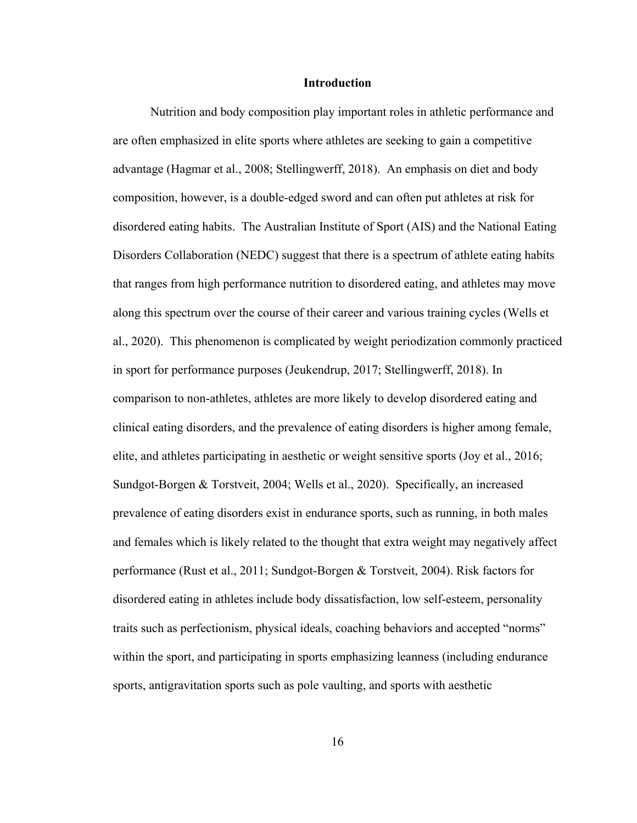### **Introduction**

Nutrition and body composition play important roles in athletic performance and are often emphasized in elite sports where athletes are seeking to gain a competitive advantage (Hagmar et al., 2008; Stellingwerff, 2018). An emphasis on diet and body composition, however, is a double-edged sword and can often put athletes at risk for disordered eating habits. The Australian Institute of Sport (AIS) and the National Eating Disorders Collaboration (NEDC) suggest that there is a spectrum of athlete eating habits that ranges from high performance nutrition to disordered eating, and athletes may move along this spectrum over the course of their career and various training cycles (Wells et al., 2020). This phenomenon is complicated by weight periodization commonly practiced in sport for performance purposes (Jeukendrup, 2017; Stellingwerff, 2018). In comparison to non-athletes, athletes are more likely to develop disordered eating and clinical eating disorders, and the prevalence of eating disorders is higher among female, elite, and athletes participating in aesthetic or weight sensitive sports (Joy et al., 2016; Sundgot-Borgen & Torstveit, 2004; Wells et al., 2020). Specifically, an increased prevalence of eating disorders exist in endurance sports, such as running, in both males and females which is likely related to the thought that extra weight may negatively affect performance (Rust et al., 2011; Sundgot-Borgen & Torstveit, 2004). Risk factors for disordered eating in athletes include body dissatisfaction, low self-esteem, personality traits such as perfectionism, physical ideals, coaching behaviors and accepted "norms" within the sport, and participating in sports emphasizing leanness (including endurance sports, antigravitation sports such as pole vaulting, and sports with aesthetic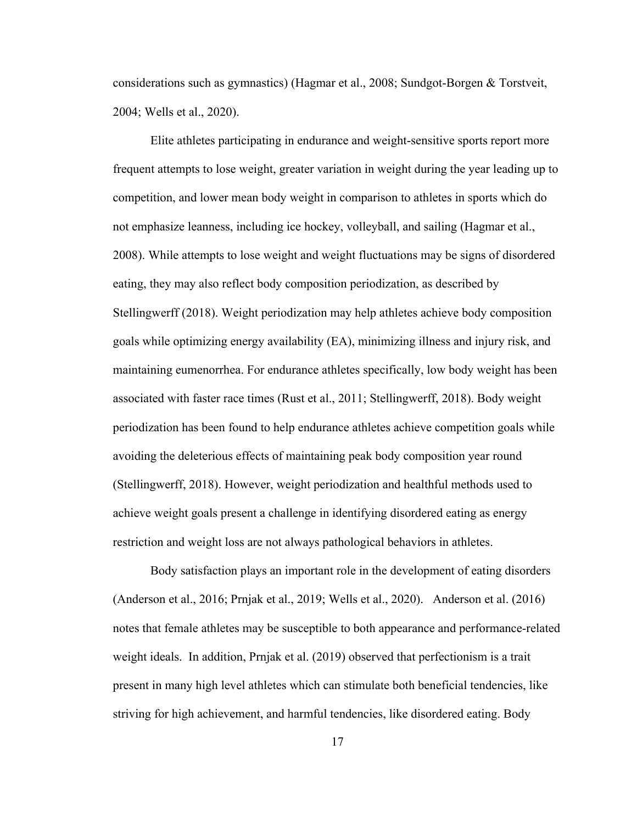considerations such as gymnastics) (Hagmar et al., 2008; Sundgot-Borgen & Torstveit, 2004; Wells et al., 2020).

Elite athletes participating in endurance and weight-sensitive sports report more frequent attempts to lose weight, greater variation in weight during the year leading up to competition, and lower mean body weight in comparison to athletes in sports which do not emphasize leanness, including ice hockey, volleyball, and sailing (Hagmar et al., 2008). While attempts to lose weight and weight fluctuations may be signs of disordered eating, they may also reflect body composition periodization, as described by Stellingwerff (2018). Weight periodization may help athletes achieve body composition goals while optimizing energy availability (EA), minimizing illness and injury risk, and maintaining eumenorrhea. For endurance athletes specifically, low body weight has been associated with faster race times (Rust et al., 2011; Stellingwerff, 2018). Body weight periodization has been found to help endurance athletes achieve competition goals while avoiding the deleterious effects of maintaining peak body composition year round (Stellingwerff, 2018). However, weight periodization and healthful methods used to achieve weight goals present a challenge in identifying disordered eating as energy restriction and weight loss are not always pathological behaviors in athletes.

Body satisfaction plays an important role in the development of eating disorders (Anderson et al., 2016; Prnjak et al., 2019; Wells et al., 2020). Anderson et al. (2016) notes that female athletes may be susceptible to both appearance and performance-related weight ideals. In addition, Prnjak et al. (2019) observed that perfectionism is a trait present in many high level athletes which can stimulate both beneficial tendencies, like striving for high achievement, and harmful tendencies, like disordered eating. Body

17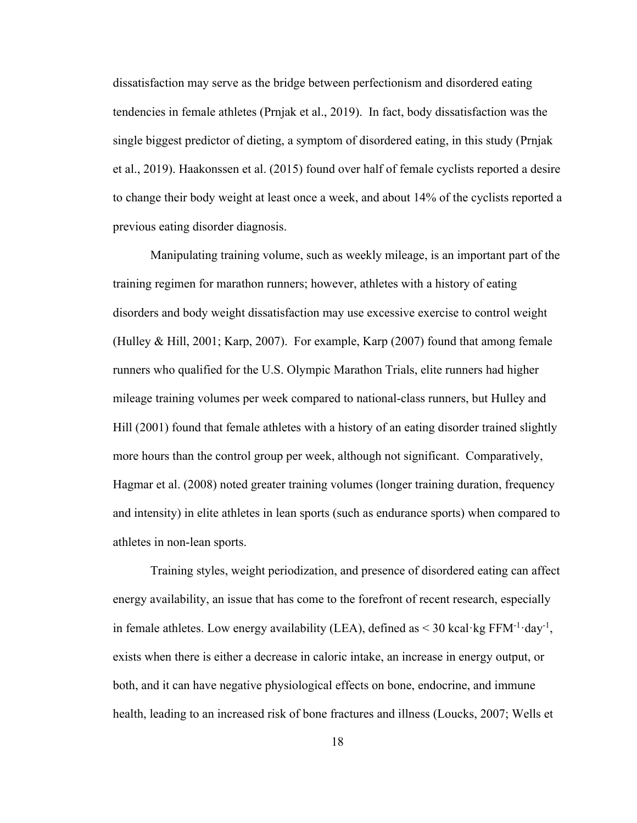dissatisfaction may serve as the bridge between perfectionism and disordered eating tendencies in female athletes (Prnjak et al., 2019). In fact, body dissatisfaction was the single biggest predictor of dieting, a symptom of disordered eating, in this study (Prnjak et al., 2019). Haakonssen et al. (2015) found over half of female cyclists reported a desire to change their body weight at least once a week, and about 14% of the cyclists reported a previous eating disorder diagnosis.

Manipulating training volume, such as weekly mileage, is an important part of the training regimen for marathon runners; however, athletes with a history of eating disorders and body weight dissatisfaction may use excessive exercise to control weight (Hulley & Hill, 2001; Karp, 2007). For example, Karp (2007) found that among female runners who qualified for the U.S. Olympic Marathon Trials, elite runners had higher mileage training volumes per week compared to national-class runners, but Hulley and Hill (2001) found that female athletes with a history of an eating disorder trained slightly more hours than the control group per week, although not significant. Comparatively, Hagmar et al. (2008) noted greater training volumes (longer training duration, frequency and intensity) in elite athletes in lean sports (such as endurance sports) when compared to athletes in non-lean sports.

Training styles, weight periodization, and presence of disordered eating can affect energy availability, an issue that has come to the forefront of recent research, especially in female athletes. Low energy availability (LEA), defined as  $\leq$  30 kcal·kg FFM<sup>-1</sup>·day<sup>-1</sup>, exists when there is either a decrease in caloric intake, an increase in energy output, or both, and it can have negative physiological effects on bone, endocrine, and immune health, leading to an increased risk of bone fractures and illness (Loucks, 2007; Wells et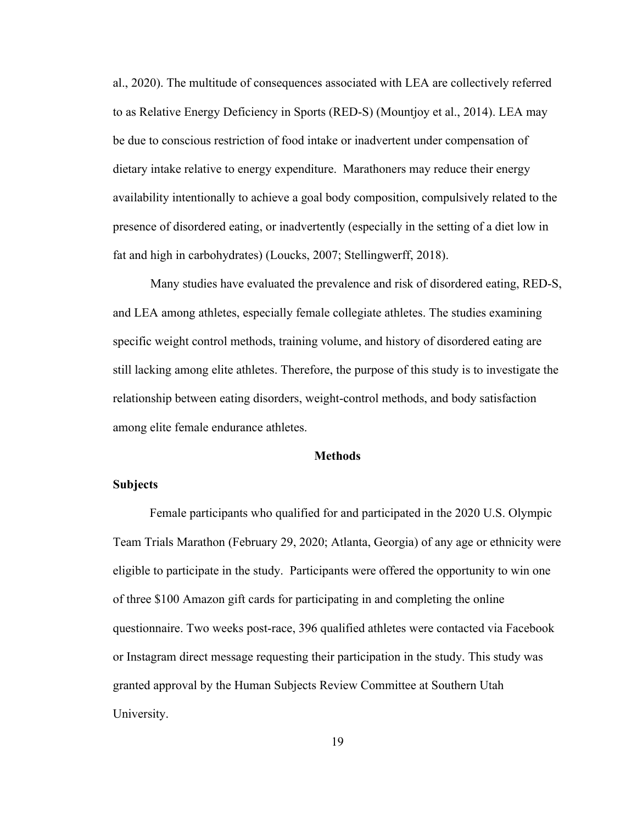al., 2020). The multitude of consequences associated with LEA are collectively referred to as Relative Energy Deficiency in Sports (RED-S) (Mountjoy et al., 2014). LEA may be due to conscious restriction of food intake or inadvertent under compensation of dietary intake relative to energy expenditure. Marathoners may reduce their energy availability intentionally to achieve a goal body composition, compulsively related to the presence of disordered eating, or inadvertently (especially in the setting of a diet low in fat and high in carbohydrates) (Loucks, 2007; Stellingwerff, 2018).

Many studies have evaluated the prevalence and risk of disordered eating, RED-S, and LEA among athletes, especially female collegiate athletes. The studies examining specific weight control methods, training volume, and history of disordered eating are still lacking among elite athletes. Therefore, the purpose of this study is to investigate the relationship between eating disorders, weight-control methods, and body satisfaction among elite female endurance athletes.

#### **Methods**

### **Subjects**

Female participants who qualified for and participated in the 2020 U.S. Olympic Team Trials Marathon (February 29, 2020; Atlanta, Georgia) of any age or ethnicity were eligible to participate in the study. Participants were offered the opportunity to win one of three \$100 Amazon gift cards for participating in and completing the online questionnaire. Two weeks post-race, 396 qualified athletes were contacted via Facebook or Instagram direct message requesting their participation in the study. This study was granted approval by the Human Subjects Review Committee at Southern Utah University.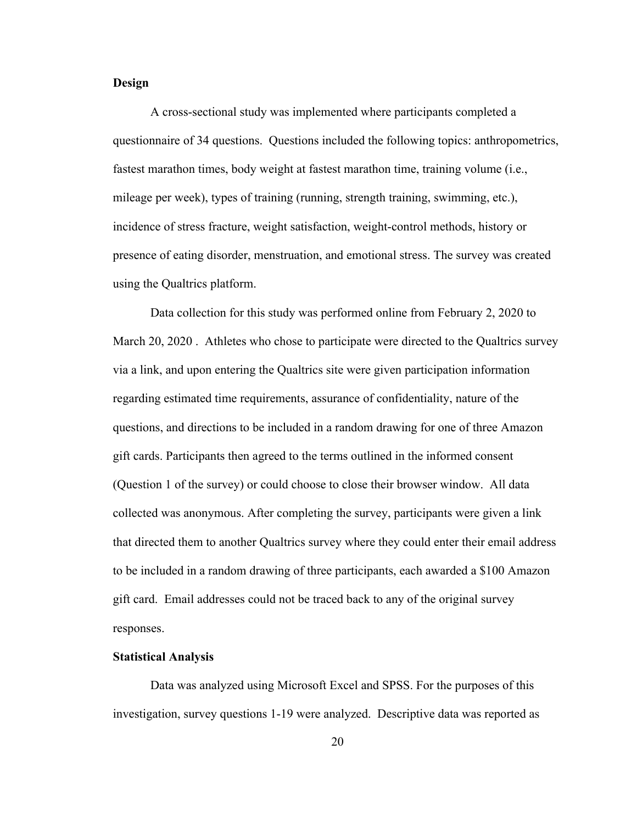### **Design**

A cross-sectional study was implemented where participants completed a questionnaire of 34 questions. Questions included the following topics: anthropometrics, fastest marathon times, body weight at fastest marathon time, training volume (i.e., mileage per week), types of training (running, strength training, swimming, etc.), incidence of stress fracture, weight satisfaction, weight-control methods, history or presence of eating disorder, menstruation, and emotional stress. The survey was created using the Qualtrics platform.

Data collection for this study was performed online from February 2, 2020 to March 20, 2020 . Athletes who chose to participate were directed to the Qualtrics survey via a link, and upon entering the Qualtrics site were given participation information regarding estimated time requirements, assurance of confidentiality, nature of the questions, and directions to be included in a random drawing for one of three Amazon gift cards. Participants then agreed to the terms outlined in the informed consent (Question 1 of the survey) or could choose to close their browser window. All data collected was anonymous. After completing the survey, participants were given a link that directed them to another Qualtrics survey where they could enter their email address to be included in a random drawing of three participants, each awarded a \$100 Amazon gift card. Email addresses could not be traced back to any of the original survey responses.

### **Statistical Analysis**

Data was analyzed using Microsoft Excel and SPSS. For the purposes of this investigation, survey questions 1-19 were analyzed. Descriptive data was reported as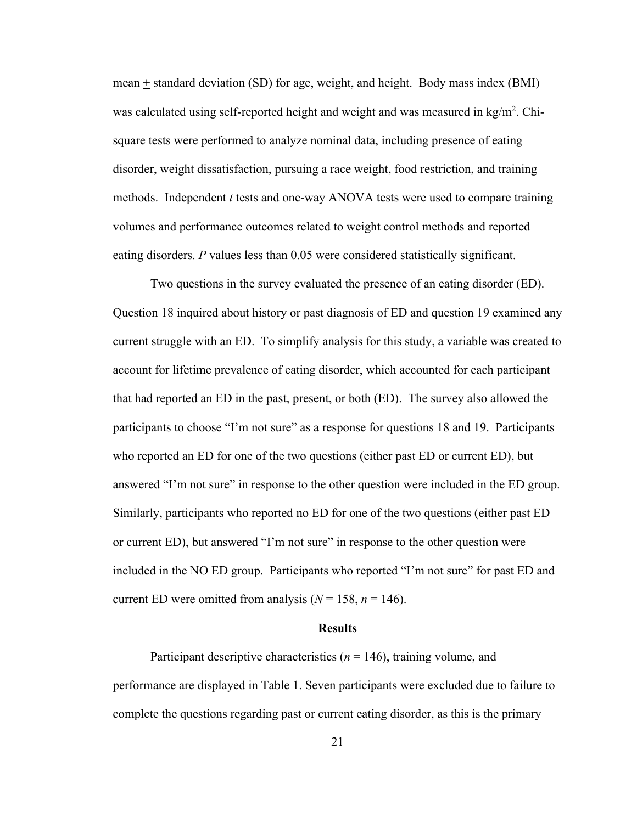mean  $\pm$  standard deviation (SD) for age, weight, and height. Body mass index (BMI) was calculated using self-reported height and weight and was measured in kg/m<sup>2</sup>. Chisquare tests were performed to analyze nominal data, including presence of eating disorder, weight dissatisfaction, pursuing a race weight, food restriction, and training methods. Independent *t* tests and one-way ANOVA tests were used to compare training volumes and performance outcomes related to weight control methods and reported eating disorders. *P* values less than 0.05 were considered statistically significant.

Two questions in the survey evaluated the presence of an eating disorder (ED). Question 18 inquired about history or past diagnosis of ED and question 19 examined any current struggle with an ED. To simplify analysis for this study, a variable was created to account for lifetime prevalence of eating disorder, which accounted for each participant that had reported an ED in the past, present, or both (ED). The survey also allowed the participants to choose "I'm not sure" as a response for questions 18 and 19. Participants who reported an ED for one of the two questions (either past ED or current ED), but answered "I'm not sure" in response to the other question were included in the ED group. Similarly, participants who reported no ED for one of the two questions (either past ED or current ED), but answered "I'm not sure" in response to the other question were included in the NO ED group. Participants who reported "I'm not sure" for past ED and current ED were omitted from analysis ( $N = 158$ ,  $n = 146$ ).

### **Results**

Participant descriptive characteristics  $(n = 146)$ , training volume, and performance are displayed in Table 1. Seven participants were excluded due to failure to complete the questions regarding past or current eating disorder, as this is the primary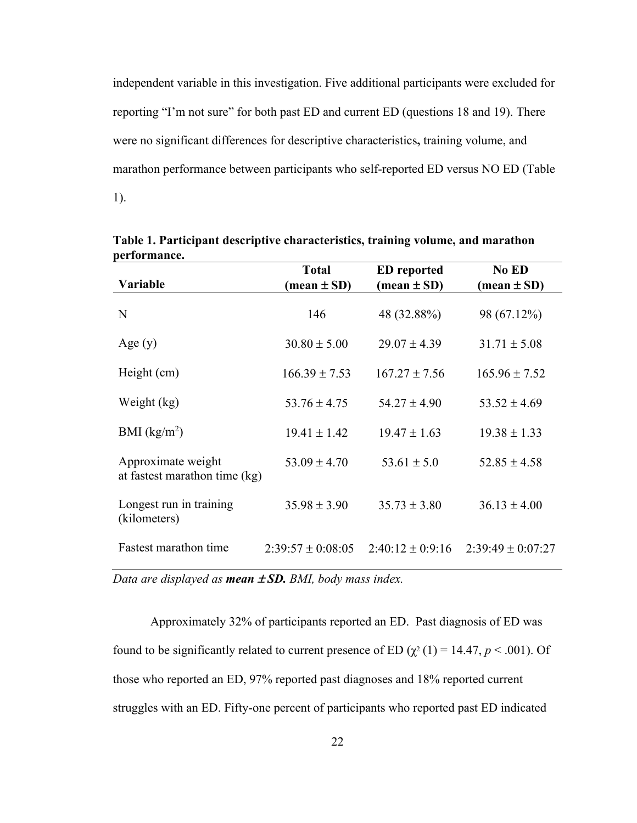independent variable in this investigation. Five additional participants were excluded for reporting "I'm not sure" for both past ED and current ED (questions 18 and 19). There were no significant differences for descriptive characteristics**,** training volume, and marathon performance between participants who self-reported ED versus NO ED (Table 1).

|                                                     | <b>Total</b>                  | <b>ED</b> reported            | No ED                         |
|-----------------------------------------------------|-------------------------------|-------------------------------|-------------------------------|
| Variable                                            | $(\text{mean} \pm \text{SD})$ | $(\text{mean} \pm \text{SD})$ | $(\text{mean} \pm \text{SD})$ |
| N                                                   | 146                           | 48 (32.88%)                   | 98 (67.12%)                   |
| Age(y)                                              | $30.80 \pm 5.00$              | $29.07 \pm 4.39$              | $31.71 \pm 5.08$              |
| Height (cm)                                         | $166.39 \pm 7.53$             | $167.27 \pm 7.56$             | $165.96 \pm 7.52$             |
| Weight (kg)                                         | $53.76 \pm 4.75$              | $54.27 \pm 4.90$              | $53.52 \pm 4.69$              |
| BMI $(kg/m2)$                                       | $19.41 \pm 1.42$              | $19.47 \pm 1.63$              | $19.38 \pm 1.33$              |
| Approximate weight<br>at fastest marathon time (kg) | $53.09 \pm 4.70$              | $53.61 \pm 5.0$               | $52.85 \pm 4.58$              |
| Longest run in training<br>(kilometers)             | $35.98 \pm 3.90$              | $35.73 \pm 3.80$              | $36.13 \pm 4.00$              |
| Fastest marathon time                               | $2:39:57 \pm 0:08:05$         | $2:40:12 \pm 0:9:16$          | $2:39:49 \pm 0:07:27$         |

**Table 1. Participant descriptive characteristics, training volume, and marathon performance.**

*Data are displayed as <i>mean*  $\pm$  SD. BMI, body mass index.

Approximately 32% of participants reported an ED. Past diagnosis of ED was found to be significantly related to current presence of ED ( $\chi^2$  (1) = 14.47, *p* < .001). Of those who reported an ED, 97% reported past diagnoses and 18% reported current struggles with an ED. Fifty-one percent of participants who reported past ED indicated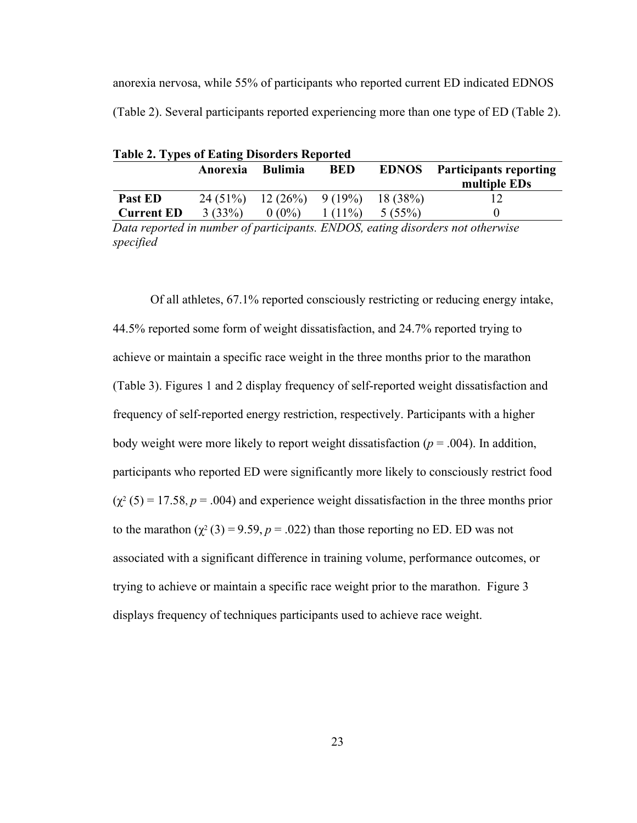anorexia nervosa, while 55% of participants who reported current ED indicated EDNOS (Table 2). Several participants reported experiencing more than one type of ED (Table 2).

| <b>Table 2. Types of Eating Disorders Reported</b> |          |                             |            |              |                                               |  |
|----------------------------------------------------|----------|-----------------------------|------------|--------------|-----------------------------------------------|--|
|                                                    | Anorexia | <b>Bulimia</b>              | <b>BED</b> | <b>EDNOS</b> | <b>Participants reporting</b><br>multiple EDs |  |
| Past ED                                            |          | $24(51\%)$ 12 (26%) 9 (19%) |            | 18(38%)      |                                               |  |
| <b>Current ED</b>                                  | 3(33%)   | $0(0\%)$                    | $1(11\%)$  | 5(55%)       |                                               |  |

*Data reported in number of participants. ENDOS, eating disorders not otherwise specified*

Of all athletes, 67.1% reported consciously restricting or reducing energy intake, 44.5% reported some form of weight dissatisfaction, and 24.7% reported trying to achieve or maintain a specific race weight in the three months prior to the marathon (Table 3). Figures 1 and 2 display frequency of self-reported weight dissatisfaction and frequency of self-reported energy restriction, respectively. Participants with a higher body weight were more likely to report weight dissatisfaction ( $p = .004$ ). In addition, participants who reported ED were significantly more likely to consciously restrict food  $(\chi^2 (5) = 17.58, p = .004)$  and experience weight dissatisfaction in the three months prior to the marathon  $(\chi^2(3) = 9.59, p = .022)$  than those reporting no ED. ED was not associated with a significant difference in training volume, performance outcomes, or trying to achieve or maintain a specific race weight prior to the marathon. Figure 3 displays frequency of techniques participants used to achieve race weight.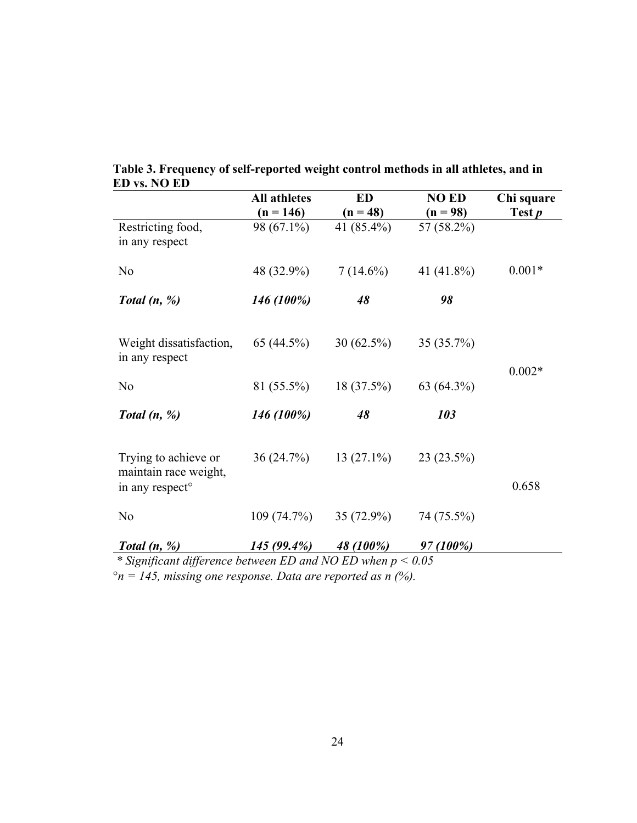|                                                                                   | <b>All athletes</b>       | <b>ED</b>                | <b>NO ED</b>             | Chi square    |
|-----------------------------------------------------------------------------------|---------------------------|--------------------------|--------------------------|---------------|
| Restricting food,<br>in any respect                                               | $(n = 146)$<br>98 (67.1%) | $(n = 48)$<br>41 (85.4%) | $(n = 98)$<br>57 (58.2%) | Test <i>p</i> |
| No                                                                                | 48 (32.9%)                | $7(14.6\%)$              | 41 $(41.8\%)$            | $0.001*$      |
| Total $(n, %)$                                                                    | 146 (100%)                | 48                       | 98                       |               |
| Weight dissatisfaction,<br>in any respect                                         | 65 $(44.5\%)$             | $30(62.5\%)$             | 35 (35.7%)               |               |
| No                                                                                | 81 (55.5%)                | $18(37.5\%)$             | 63 (64.3%)               | $0.002*$      |
| Total $(n, %)$                                                                    | 146 (100%)                | 48                       | 103                      |               |
| Trying to achieve or<br>maintain race weight,<br>in any respect <sup>o</sup>      | 36(24.7%)                 | $13(27.1\%)$             | 23 (23.5%)               | 0.658         |
| N <sub>o</sub>                                                                    | 109 (74.7%)               | $35(72.9\%)$             | 74 (75.5%)               |               |
| Total $(n, %)$<br>$*$ Significant difference between ED and NO ED when $n < 0.05$ | $145(99.4\%)$             | 48 (100%)                | 97 (100%)                |               |

**Table 3. Frequency of self-reported weight control methods in all athletes, and in ED vs. NO ED**

*\* Significant difference between ED and NO ED when p < 0.05*

°*n = 145, missing one response. Data are reported as n (%).*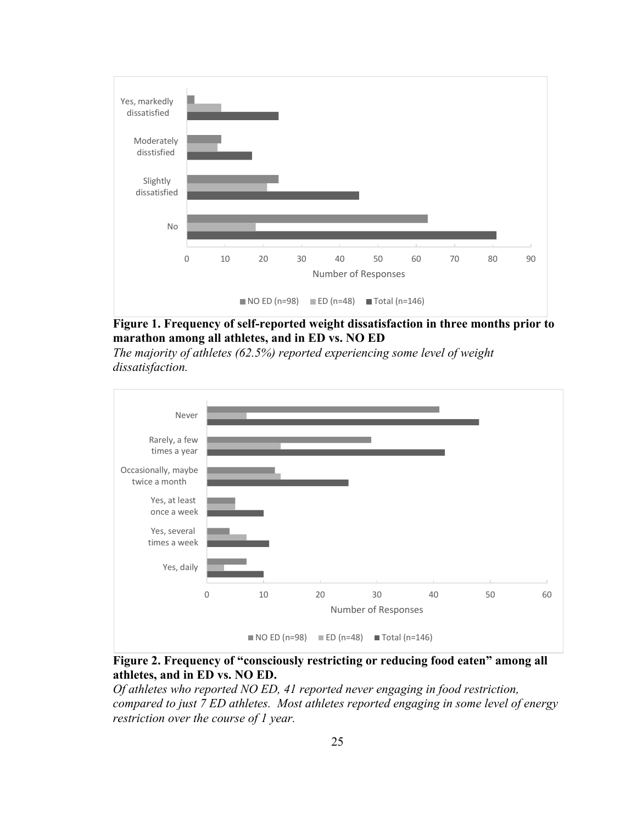

**Figure 1. Frequency of self-reported weight dissatisfaction in three months prior to marathon among all athletes, and in ED vs. NO ED**

*The majority of athletes (62.5%) reported experiencing some level of weight dissatisfaction.* 



**Figure 2. Frequency of "consciously restricting or reducing food eaten" among all athletes, and in ED vs. NO ED.**

*Of athletes who reported NO ED, 41 reported never engaging in food restriction, compared to just 7 ED athletes. Most athletes reported engaging in some level of energy restriction over the course of 1 year.*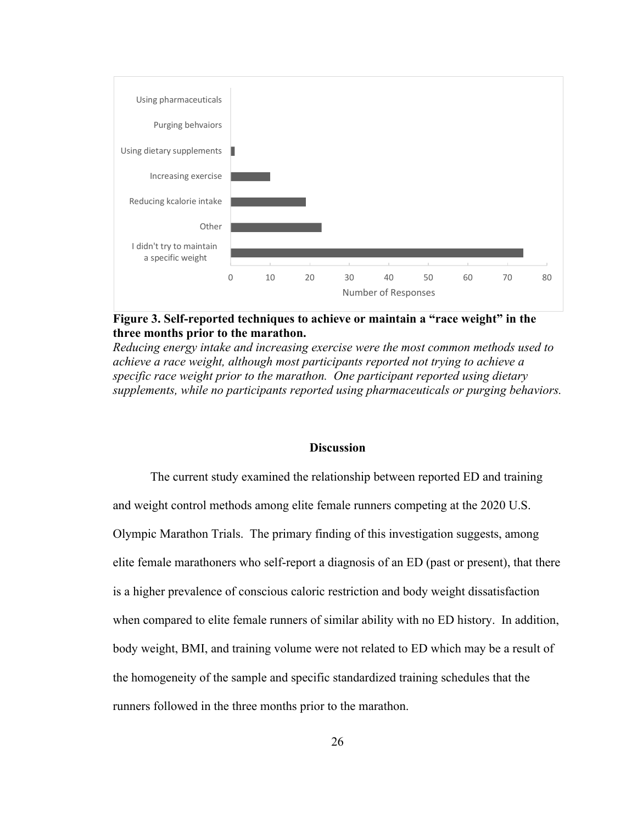

**Figure 3. Self-reported techniques to achieve or maintain a "race weight" in the three months prior to the marathon.**

*Reducing energy intake and increasing exercise were the most common methods used to achieve a race weight, although most participants reported not trying to achieve a specific race weight prior to the marathon. One participant reported using dietary supplements, while no participants reported using pharmaceuticals or purging behaviors.*

### **Discussion**

The current study examined the relationship between reported ED and training and weight control methods among elite female runners competing at the 2020 U.S. Olympic Marathon Trials. The primary finding of this investigation suggests, among elite female marathoners who self-report a diagnosis of an ED (past or present), that there is a higher prevalence of conscious caloric restriction and body weight dissatisfaction when compared to elite female runners of similar ability with no ED history. In addition, body weight, BMI, and training volume were not related to ED which may be a result of the homogeneity of the sample and specific standardized training schedules that the runners followed in the three months prior to the marathon.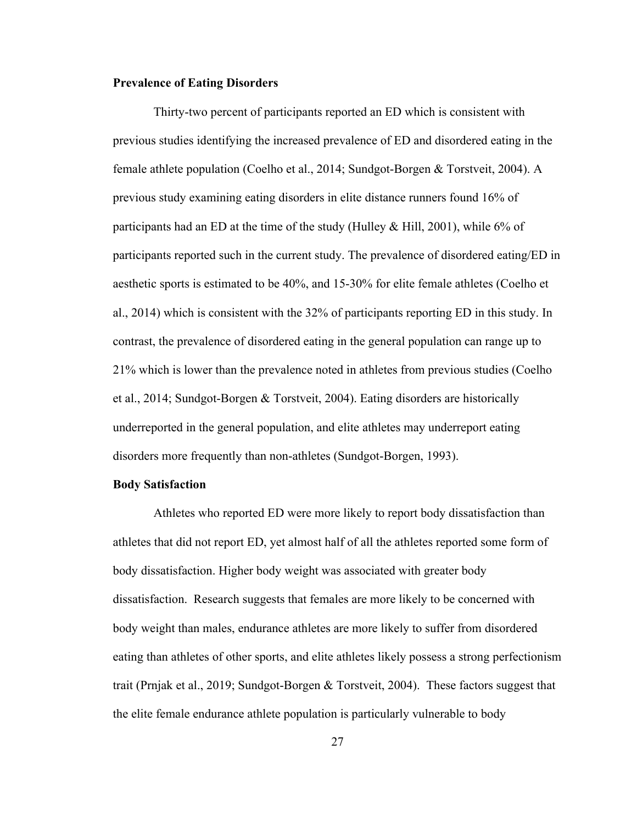### **Prevalence of Eating Disorders**

Thirty-two percent of participants reported an ED which is consistent with previous studies identifying the increased prevalence of ED and disordered eating in the female athlete population (Coelho et al., 2014; Sundgot-Borgen & Torstveit, 2004). A previous study examining eating disorders in elite distance runners found 16% of participants had an ED at the time of the study (Hulley & Hill, 2001), while 6% of participants reported such in the current study. The prevalence of disordered eating/ED in aesthetic sports is estimated to be 40%, and 15-30% for elite female athletes (Coelho et al., 2014) which is consistent with the 32% of participants reporting ED in this study. In contrast, the prevalence of disordered eating in the general population can range up to 21% which is lower than the prevalence noted in athletes from previous studies (Coelho et al., 2014; Sundgot-Borgen & Torstveit, 2004). Eating disorders are historically underreported in the general population, and elite athletes may underreport eating disorders more frequently than non-athletes (Sundgot-Borgen, 1993).

### **Body Satisfaction**

Athletes who reported ED were more likely to report body dissatisfaction than athletes that did not report ED, yet almost half of all the athletes reported some form of body dissatisfaction. Higher body weight was associated with greater body dissatisfaction. Research suggests that females are more likely to be concerned with body weight than males, endurance athletes are more likely to suffer from disordered eating than athletes of other sports, and elite athletes likely possess a strong perfectionism trait (Prnjak et al., 2019; Sundgot-Borgen & Torstveit, 2004). These factors suggest that the elite female endurance athlete population is particularly vulnerable to body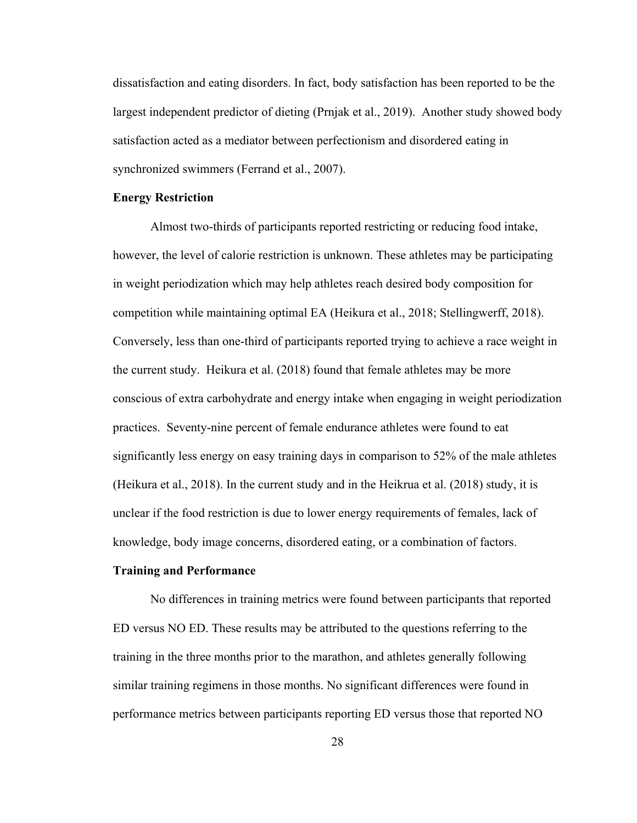dissatisfaction and eating disorders. In fact, body satisfaction has been reported to be the largest independent predictor of dieting (Prnjak et al., 2019). Another study showed body satisfaction acted as a mediator between perfectionism and disordered eating in synchronized swimmers (Ferrand et al., 2007).

### **Energy Restriction**

Almost two-thirds of participants reported restricting or reducing food intake, however, the level of calorie restriction is unknown. These athletes may be participating in weight periodization which may help athletes reach desired body composition for competition while maintaining optimal EA (Heikura et al., 2018; Stellingwerff, 2018). Conversely, less than one-third of participants reported trying to achieve a race weight in the current study. Heikura et al. (2018) found that female athletes may be more conscious of extra carbohydrate and energy intake when engaging in weight periodization practices. Seventy-nine percent of female endurance athletes were found to eat significantly less energy on easy training days in comparison to 52% of the male athletes (Heikura et al., 2018). In the current study and in the Heikrua et al. (2018) study, it is unclear if the food restriction is due to lower energy requirements of females, lack of knowledge, body image concerns, disordered eating, or a combination of factors.

### **Training and Performance**

No differences in training metrics were found between participants that reported ED versus NO ED. These results may be attributed to the questions referring to the training in the three months prior to the marathon, and athletes generally following similar training regimens in those months. No significant differences were found in performance metrics between participants reporting ED versus those that reported NO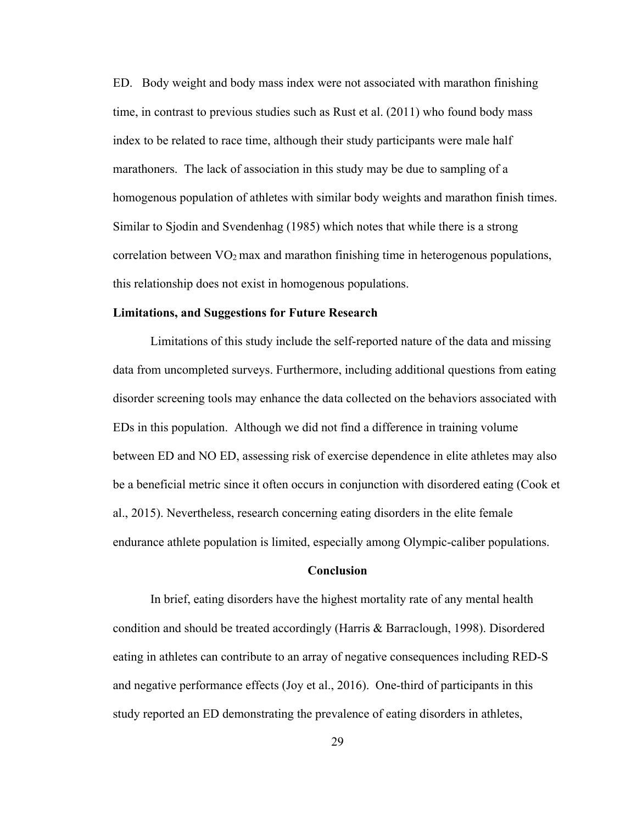ED. Body weight and body mass index were not associated with marathon finishing time, in contrast to previous studies such as Rust et al. (2011) who found body mass index to be related to race time, although their study participants were male half marathoners. The lack of association in this study may be due to sampling of a homogenous population of athletes with similar body weights and marathon finish times. Similar to Sjodin and Svendenhag (1985) which notes that while there is a strong correlation between  $\rm VO_2$  max and marathon finishing time in heterogenous populations, this relationship does not exist in homogenous populations.

#### **Limitations, and Suggestions for Future Research**

Limitations of this study include the self-reported nature of the data and missing data from uncompleted surveys. Furthermore, including additional questions from eating disorder screening tools may enhance the data collected on the behaviors associated with EDs in this population. Although we did not find a difference in training volume between ED and NO ED, assessing risk of exercise dependence in elite athletes may also be a beneficial metric since it often occurs in conjunction with disordered eating (Cook et al., 2015). Nevertheless, research concerning eating disorders in the elite female endurance athlete population is limited, especially among Olympic-caliber populations.

### **Conclusion**

In brief, eating disorders have the highest mortality rate of any mental health condition and should be treated accordingly (Harris & Barraclough, 1998). Disordered eating in athletes can contribute to an array of negative consequences including RED-S and negative performance effects (Joy et al., 2016). One-third of participants in this study reported an ED demonstrating the prevalence of eating disorders in athletes,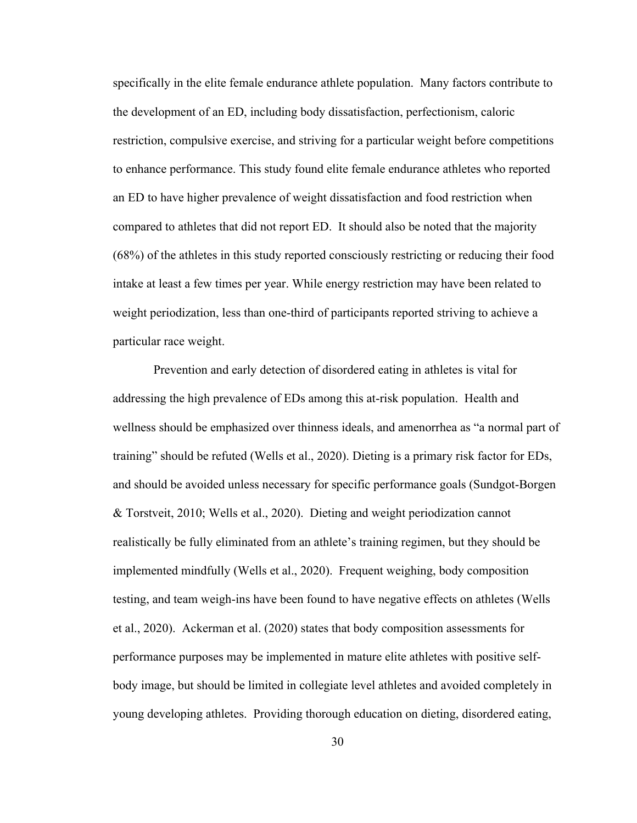specifically in the elite female endurance athlete population. Many factors contribute to the development of an ED, including body dissatisfaction, perfectionism, caloric restriction, compulsive exercise, and striving for a particular weight before competitions to enhance performance. This study found elite female endurance athletes who reported an ED to have higher prevalence of weight dissatisfaction and food restriction when compared to athletes that did not report ED. It should also be noted that the majority (68%) of the athletes in this study reported consciously restricting or reducing their food intake at least a few times per year. While energy restriction may have been related to weight periodization, less than one-third of participants reported striving to achieve a particular race weight.

Prevention and early detection of disordered eating in athletes is vital for addressing the high prevalence of EDs among this at-risk population. Health and wellness should be emphasized over thinness ideals, and amenorrhea as "a normal part of training" should be refuted (Wells et al., 2020). Dieting is a primary risk factor for EDs, and should be avoided unless necessary for specific performance goals (Sundgot-Borgen & Torstveit, 2010; Wells et al., 2020). Dieting and weight periodization cannot realistically be fully eliminated from an athlete's training regimen, but they should be implemented mindfully (Wells et al., 2020). Frequent weighing, body composition testing, and team weigh-ins have been found to have negative effects on athletes (Wells et al., 2020). Ackerman et al. (2020) states that body composition assessments for performance purposes may be implemented in mature elite athletes with positive selfbody image, but should be limited in collegiate level athletes and avoided completely in young developing athletes. Providing thorough education on dieting, disordered eating,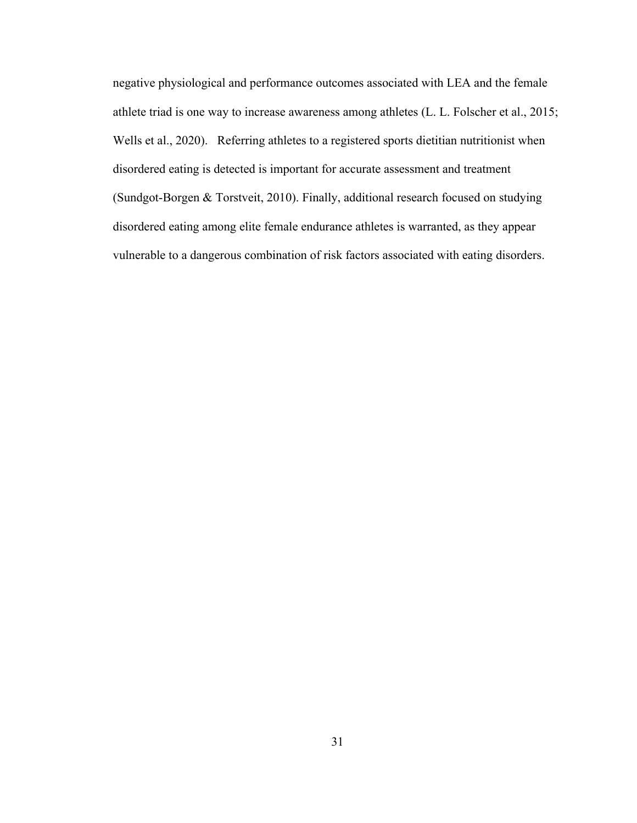negative physiological and performance outcomes associated with LEA and the female athlete triad is one way to increase awareness among athletes (L. L. Folscher et al., 2015; Wells et al., 2020). Referring athletes to a registered sports dietitian nutritionist when disordered eating is detected is important for accurate assessment and treatment (Sundgot-Borgen & Torstveit, 2010). Finally, additional research focused on studying disordered eating among elite female endurance athletes is warranted, as they appear vulnerable to a dangerous combination of risk factors associated with eating disorders.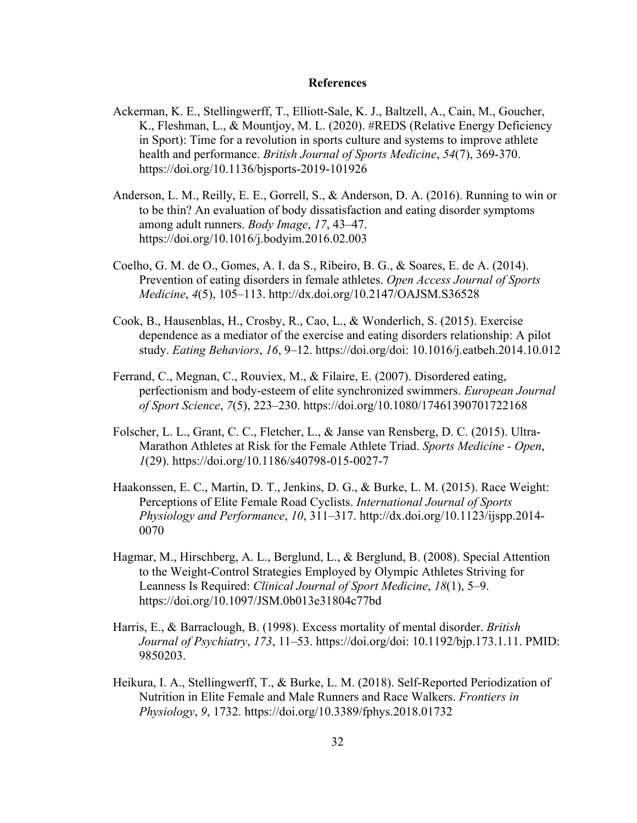#### **References**

- Ackerman, K. E., Stellingwerff, T., Elliott-Sale, K. J., Baltzell, A., Cain, M., Goucher, K., Fleshman, L., & Mountjoy, M. L. (2020). #REDS (Relative Energy Deficiency in Sport): Time for a revolution in sports culture and systems to improve athlete health and performance. *British Journal of Sports Medicine*, *54*(7), 369-370. https://doi.org/10.1136/bjsports-2019-101926
- Anderson, L. M., Reilly, E. E., Gorrell, S., & Anderson, D. A. (2016). Running to win or to be thin? An evaluation of body dissatisfaction and eating disorder symptoms among adult runners. *Body Image*, *17*, 43–47. https://doi.org/10.1016/j.bodyim.2016.02.003
- Coelho, G. M. de O., Gomes, A. I. da S., Ribeiro, B. G., & Soares, E. de A. (2014). Prevention of eating disorders in female athletes. *Open Access Journal of Sports Medicine*, *4*(5), 105–113. http://dx.doi.org/10.2147/OAJSM.S36528
- Cook, B., Hausenblas, H., Crosby, R., Cao, L., & Wonderlich, S. (2015). Exercise dependence as a mediator of the exercise and eating disorders relationship: A pilot study. *Eating Behaviors*, *16*, 9–12. https://doi.org/doi: 10.1016/j.eatbeh.2014.10.012
- Ferrand, C., Megnan, C., Rouviex, M., & Filaire, E. (2007). Disordered eating, perfectionism and body-esteem of elite synchronized swimmers. *European Journal of Sport Science*, *7*(5), 223–230. https://doi.org/10.1080/17461390701722168
- Folscher, L. L., Grant, C. C., Fletcher, L., & Janse van Rensberg, D. C. (2015). Ultra-Marathon Athletes at Risk for the Female Athlete Triad. *Sports Medicine - Open*, *1*(29). https://doi.org/10.1186/s40798-015-0027-7
- Haakonssen, E. C., Martin, D. T., Jenkins, D. G., & Burke, L. M. (2015). Race Weight: Perceptions of Elite Female Road Cyclists. *International Journal of Sports Physiology and Performance*, *10*, 311–317. http://dx.doi.org/10.1123/ijspp.2014- 0070
- Hagmar, M., Hirschberg, A. L., Berglund, L., & Berglund, B. (2008). Special Attention to the Weight-Control Strategies Employed by Olympic Athletes Striving for Leanness Is Required: *Clinical Journal of Sport Medicine*, *18*(1), 5–9. https://doi.org/10.1097/JSM.0b013e31804c77bd
- Harris, E., & Barraclough, B. (1998). Excess mortality of mental disorder. *British Journal of Psychiatry*, *173*, 11–53. https://doi.org/doi: 10.1192/bjp.173.1.11. PMID: 9850203.
- Heikura, I. A., Stellingwerff, T., & Burke, L. M. (2018). Self-Reported Periodization of Nutrition in Elite Female and Male Runners and Race Walkers. *Frontiers in Physiology*, *9*, 1732. https://doi.org/10.3389/fphys.2018.01732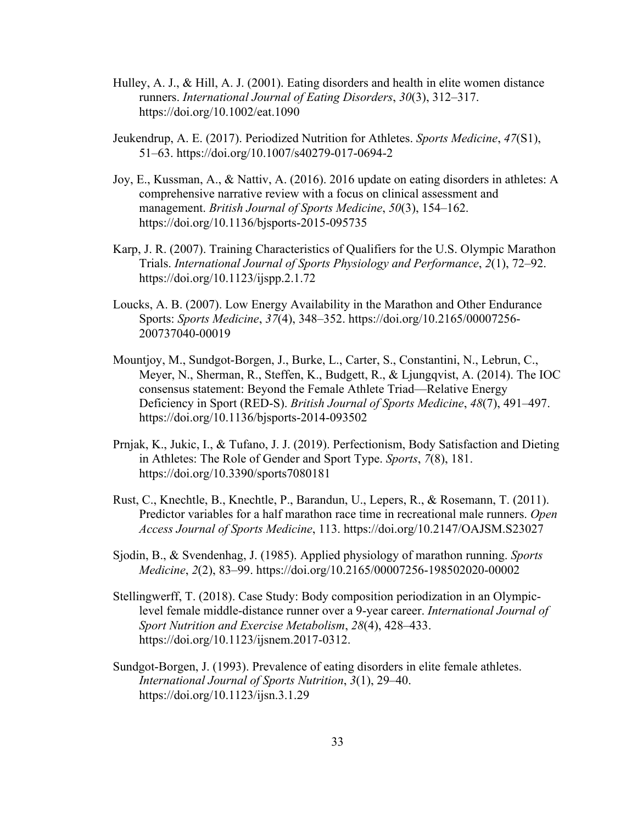- Hulley, A. J., & Hill, A. J. (2001). Eating disorders and health in elite women distance runners. *International Journal of Eating Disorders*, *30*(3), 312–317. https://doi.org/10.1002/eat.1090
- Jeukendrup, A. E. (2017). Periodized Nutrition for Athletes. *Sports Medicine*, *47*(S1), 51–63. https://doi.org/10.1007/s40279-017-0694-2
- Joy, E., Kussman, A., & Nattiv, A. (2016). 2016 update on eating disorders in athletes: A comprehensive narrative review with a focus on clinical assessment and management. *British Journal of Sports Medicine*, *50*(3), 154–162. https://doi.org/10.1136/bjsports-2015-095735
- Karp, J. R. (2007). Training Characteristics of Qualifiers for the U.S. Olympic Marathon Trials. *International Journal of Sports Physiology and Performance*, *2*(1), 72–92. https://doi.org/10.1123/ijspp.2.1.72
- Loucks, A. B. (2007). Low Energy Availability in the Marathon and Other Endurance Sports: *Sports Medicine*, *37*(4), 348–352. https://doi.org/10.2165/00007256- 200737040-00019
- Mountjoy, M., Sundgot-Borgen, J., Burke, L., Carter, S., Constantini, N., Lebrun, C., Meyer, N., Sherman, R., Steffen, K., Budgett, R., & Ljungqvist, A. (2014). The IOC consensus statement: Beyond the Female Athlete Triad—Relative Energy Deficiency in Sport (RED-S). *British Journal of Sports Medicine*, *48*(7), 491–497. https://doi.org/10.1136/bjsports-2014-093502
- Prnjak, K., Jukic, I., & Tufano, J. J. (2019). Perfectionism, Body Satisfaction and Dieting in Athletes: The Role of Gender and Sport Type. *Sports*, *7*(8), 181. https://doi.org/10.3390/sports7080181
- Rust, C., Knechtle, B., Knechtle, P., Barandun, U., Lepers, R., & Rosemann, T. (2011). Predictor variables for a half marathon race time in recreational male runners. *Open Access Journal of Sports Medicine*, 113. https://doi.org/10.2147/OAJSM.S23027
- Sjodin, B., & Svendenhag, J. (1985). Applied physiology of marathon running. *Sports Medicine*, *2*(2), 83–99. https://doi.org/10.2165/00007256-198502020-00002
- Stellingwerff, T. (2018). Case Study: Body composition periodization in an Olympiclevel female middle-distance runner over a 9-year career. *International Journal of Sport Nutrition and Exercise Metabolism*, *28*(4), 428–433. https://doi.org/10.1123/ijsnem.2017-0312.
- Sundgot-Borgen, J. (1993). Prevalence of eating disorders in elite female athletes. *International Journal of Sports Nutrition*, *3*(1), 29–40. https://doi.org/10.1123/ijsn.3.1.29